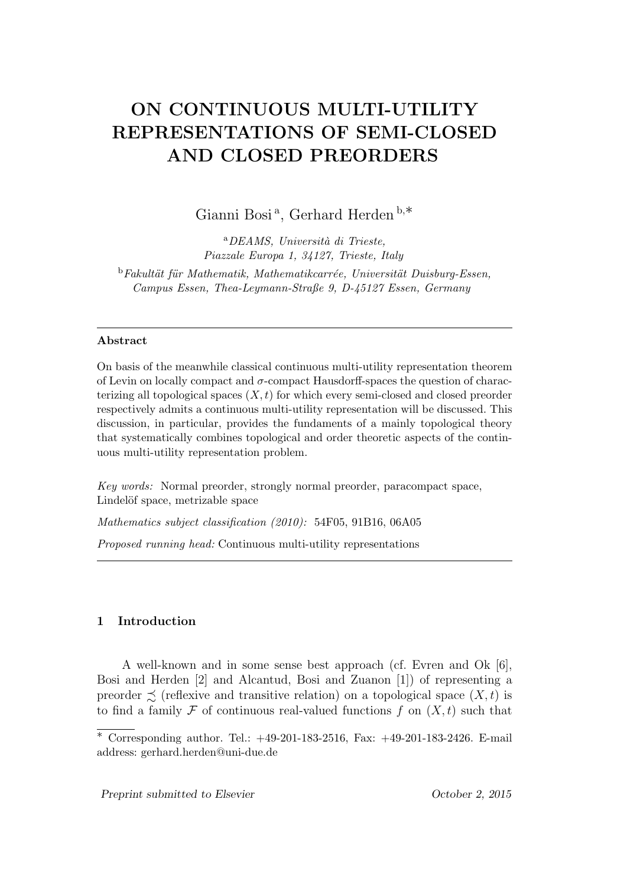# **ON CONTINUOUS MULTI-UTILITY REPRESENTATIONS OF SEMI-CLOSED AND CLOSED PREORDERS**

Gianni Bosi <sup>a</sup> , Gerhard Herden <sup>b</sup>*,∗*

<sup>a</sup>*DEAMS, Universit`a di Trieste, Piazzale Europa 1, 34127, Trieste, Italy* <sup>b</sup>Fakultät für Mathematik, Mathematikcarrée, Universität Duisburg-Essen, *Campus Essen, Thea-Leymann-Straße 9, D-45127 Essen, Germany*

## **Abstract**

On basis of the meanwhile classical continuous multi-utility representation theorem of Levin on locally compact and *σ*-compact Hausdorff-spaces the question of characterizing all topological spaces  $(X, t)$  for which every semi-closed and closed preorder respectively admits a continuous multi-utility representation will be discussed. This discussion, in particular, provides the fundaments of a mainly topological theory that systematically combines topological and order theoretic aspects of the continuous multi-utility representation problem.

*Key words:* Normal preorder, strongly normal preorder, paracompact space, Lindelöf space, metrizable space

*Mathematics subject classification (2010):* 54F05, 91B16, 06A05

*Proposed running head:* Continuous multi-utility representations

# **1 Introduction**

A well-known and in some sense best approach (cf. Evren and Ok [6], Bosi and Herden [2] and Alcantud, Bosi and Zuanon [1]) of representing a preorder  $\preceq$  (reflexive and transitive relation) on a topological space  $(X, t)$  is to find a family  $\mathcal F$  of continuous real-valued functions  $f$  on  $(X, t)$  such that

*<sup>∗</sup>* Corresponding author. Tel.: +49-201-183-2516, Fax: +49-201-183-2426. E-mail address: gerhard.herden@uni-due.de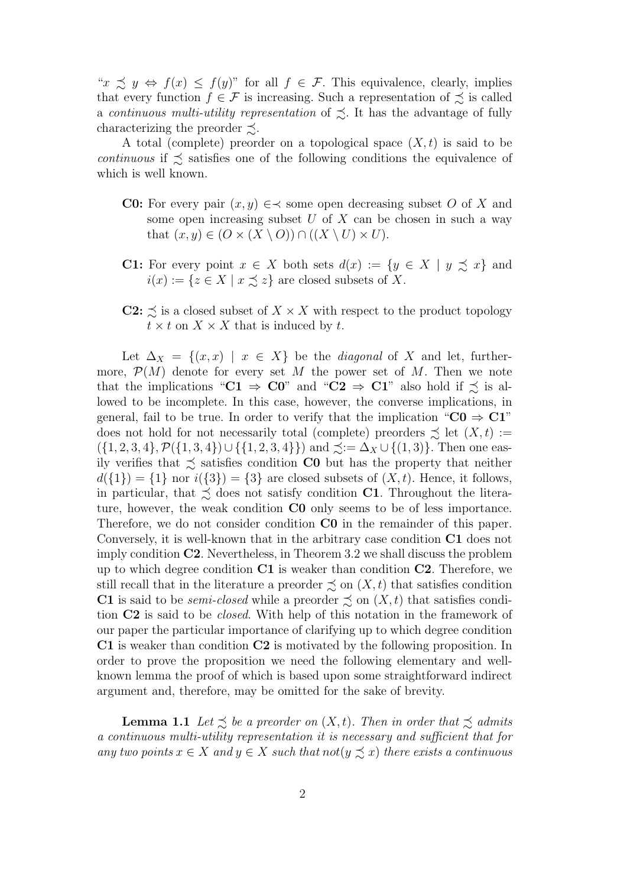" $x \precsim y \Leftrightarrow f(x) \leq f(y)$ " for all  $f \in \mathcal{F}$ . This equivalence, clearly, implies that every function  $f \in \mathcal{F}$  is increasing. Such a representation of  $\precsim$  is called a *continuous multi-utility representation* of  $\leq$ . It has the advantage of fully characterizing the preorder  $\precsim$ .

A total (complete) preorder on a topological space  $(X, t)$  is said to be *continuous* if  $\leq$  satisfies one of the following conditions the equivalence of which is well known.

- **C0:** For every pair  $(x, y) \in \n\prec$  some open decreasing subset *O* of *X* and some open increasing subset *U* of *X* can be chosen in such a way that  $(x, y) \in (O \times (X \setminus O)) \cap ((X \setminus U) \times U)$ .
- **C1:** For every point  $x \in X$  both sets  $d(x) := \{y \in X \mid y \precsim x\}$  and  $i(x) := \{z \in X \mid x \preceq z\}$  are closed subsets of *X*.
- **C2:**  $\precsim$  is a closed subset of  $X \times X$  with respect to the product topology  $t \times t$  on  $X \times X$  that is induced by *t*.

Let  $\Delta_X = \{(x, x) \mid x \in X\}$  be the *diagonal* of X and let, furthermore,  $P(M)$  denote for every set M the power set of M. Then we note that the implications " $C1 \Rightarrow C0$ " and " $C2 \Rightarrow C1$ " also hold if  $\preceq$  is allowed to be incomplete. In this case, however, the converse implications, in general, fail to be true. In order to verify that the implication " $CO \Rightarrow C1$ " does not hold for not necessarily total (complete) preorders  $\precsim$  let  $(X, t) :=$  $(\{1, 2, 3, 4\}, P(\{1, 3, 4\}) \cup \{\{1, 2, 3, 4\}\})$  and  $\precsim := \Delta_X \cup \{(1, 3)\}.$  Then one easily verifies that  $\leq$  satisfies condition **C0** but has the property that neither  $d({1}) = {1}$  nor  $i({3}) = {3}$  are closed subsets of  $(X, t)$ . Hence, it follows, in particular, that  $\leq$  does not satisfy condition **C1**. Throughout the literature, however, the weak condition **C0** only seems to be of less importance. Therefore, we do not consider condition **C0** in the remainder of this paper. Conversely, it is well-known that in the arbitrary case condition **C1** does not imply condition **C2**. Nevertheless, in Theorem 3.2 we shall discuss the problem up to which degree condition **C1** is weaker than condition **C2**. Therefore, we still recall that in the literature a preorder  $\precsim$  on  $(X, t)$  that satisfies condition **C1** is said to be *semi-closed* while a preorder  $\precsim$  on  $(X, t)$  that satisfies condition **C2** is said to be *closed*. With help of this notation in the framework of our paper the particular importance of clarifying up to which degree condition **C1** is weaker than condition **C2** is motivated by the following proposition. In order to prove the proposition we need the following elementary and wellknown lemma the proof of which is based upon some straightforward indirect argument and, therefore, may be omitted for the sake of brevity.

**Lemma 1.1** *Let*  $\leq$  *be a preorder on*  $(X, t)$ *. Then in order that*  $\leq$  *admits a continuous multi-utility representation it is necessary and sufficient that for any two points*  $x \in X$  *and*  $y \in X$  *such that*  $not(y ≤ x)$  *there exists a continuous*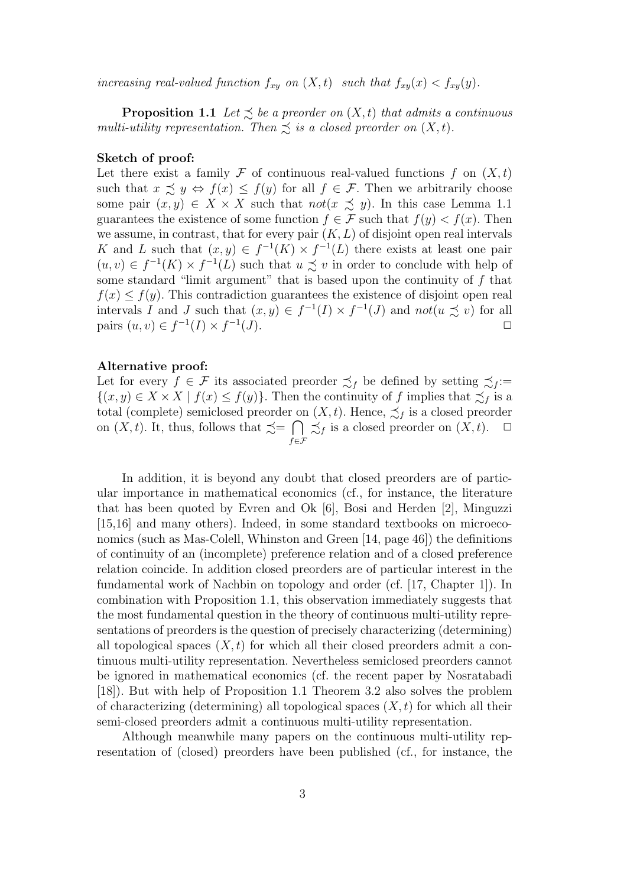*increasing real-valued function*  $f_{xy}$  *on*  $(X, t)$  *such that*  $f_{xy}(x) < f_{xy}(y)$ .

**Proposition 1.1** *Let*  $\leq$  *be a preorder on*  $(X, t)$  *that admits a continuous multi-utility representation. Then*  $\precsim$  *is a closed preorder on*  $(X, t)$ *.* 

#### **Sketch of proof:**

Let there exist a family  $\mathcal F$  of continuous real-valued functions  $f$  on  $(X,t)$ such that  $x \preceq y \Leftrightarrow f(x) \leq f(y)$  for all  $f \in \mathcal{F}$ . Then we arbitrarily choose some pair  $(x, y) \in X \times X$  such that  $not(x \precsim y)$ . In this case Lemma 1.1 guarantees the existence of some function  $f \in \mathcal{F}$  such that  $f(y) < f(x)$ . Then we assume, in contrast, that for every pair  $(K, L)$  of disjoint open real intervals *K* and *L* such that  $(x, y) \in f^{-1}(K) \times f^{-1}(L)$  there exists at least one pair  $(u, v)$  ∈  $f^{-1}(K) \times f^{-1}(L)$  such that  $u \precsim v$  in order to conclude with help of some standard "limit argument" that is based upon the continuity of *f* that  $f(x) \leq f(y)$ . This contradiction guarantees the existence of disjoint open real intervals *I* and *J* such that  $(x, y) \in f^{-1}(I) \times f^{-1}(J)$  and  $not(u \preceq v)$  for all pairs  $(u, v) \in f^{-1}(I) \times f^{-1}$  $(J)$ .

#### **Alternative proof:**

Let for every  $f \in \mathcal{F}$  its associated preorder  $\precsim_f$  be defined by setting  $\precsim_f :=$ *{*(*x, y*) ∈ *X* × *X* | *f*(*x*) ≤ *f*(*y*)}. Then the continuity of *f* implies that  $\preceq_f$  is a total (complete) semiclosed preorder on  $(X, t)$ . Hence,  $\precsim_f$  is a closed preorder on  $(X, t)$ . It, thus, follows that  $\preceq = \bigcap$ *f∈F*  $\precsim_f$  is a closed preorder on  $(X, t)$ .  $\Box$ 

In addition, it is beyond any doubt that closed preorders are of particular importance in mathematical economics (cf., for instance, the literature that has been quoted by Evren and Ok [6], Bosi and Herden [2], Minguzzi [15,16] and many others). Indeed, in some standard textbooks on microeconomics (such as Mas-Colell, Whinston and Green [14, page 46]) the definitions of continuity of an (incomplete) preference relation and of a closed preference relation coincide. In addition closed preorders are of particular interest in the fundamental work of Nachbin on topology and order (cf. [17, Chapter 1]). In combination with Proposition 1.1, this observation immediately suggests that the most fundamental question in the theory of continuous multi-utility representations of preorders is the question of precisely characterizing (determining) all topological spaces  $(X, t)$  for which all their closed preorders admit a continuous multi-utility representation. Nevertheless semiclosed preorders cannot be ignored in mathematical economics (cf. the recent paper by Nosratabadi [18]). But with help of Proposition 1.1 Theorem 3.2 also solves the problem of characterizing (determining) all topological spaces (*X, t*) for which all their semi-closed preorders admit a continuous multi-utility representation.

Although meanwhile many papers on the continuous multi-utility representation of (closed) preorders have been published (cf., for instance, the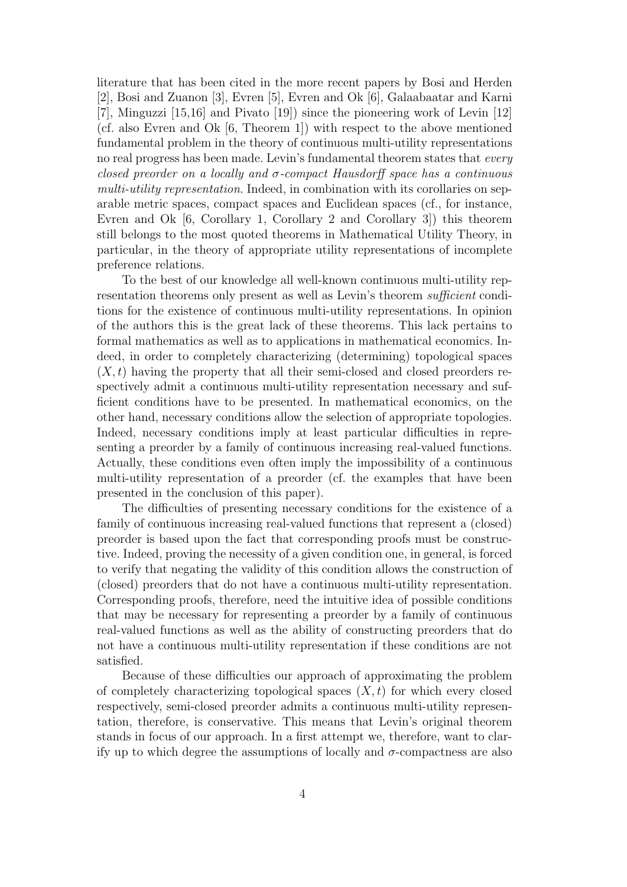literature that has been cited in the more recent papers by Bosi and Herden [2], Bosi and Zuanon [3], Evren [5], Evren and Ok [6], Galaabaatar and Karni [7], Minguzzi [15,16] and Pivato [19]) since the pioneering work of Levin [12] (cf. also Evren and Ok [6, Theorem 1]) with respect to the above mentioned fundamental problem in the theory of continuous multi-utility representations no real progress has been made. Levin's fundamental theorem states that *every closed preorder on a locally and σ-compact Hausdorff space has a continuous multi-utility representation*. Indeed, in combination with its corollaries on separable metric spaces, compact spaces and Euclidean spaces (cf., for instance, Evren and Ok [6, Corollary 1, Corollary 2 and Corollary 3]) this theorem still belongs to the most quoted theorems in Mathematical Utility Theory, in particular, in the theory of appropriate utility representations of incomplete preference relations.

To the best of our knowledge all well-known continuous multi-utility representation theorems only present as well as Levin's theorem *sufficient* conditions for the existence of continuous multi-utility representations. In opinion of the authors this is the great lack of these theorems. This lack pertains to formal mathematics as well as to applications in mathematical economics. Indeed, in order to completely characterizing (determining) topological spaces  $(X, t)$  having the property that all their semi-closed and closed preorders respectively admit a continuous multi-utility representation necessary and sufficient conditions have to be presented. In mathematical economics, on the other hand, necessary conditions allow the selection of appropriate topologies. Indeed, necessary conditions imply at least particular difficulties in representing a preorder by a family of continuous increasing real-valued functions. Actually, these conditions even often imply the impossibility of a continuous multi-utility representation of a preorder (cf. the examples that have been presented in the conclusion of this paper).

The difficulties of presenting necessary conditions for the existence of a family of continuous increasing real-valued functions that represent a (closed) preorder is based upon the fact that corresponding proofs must be constructive. Indeed, proving the necessity of a given condition one, in general, is forced to verify that negating the validity of this condition allows the construction of (closed) preorders that do not have a continuous multi-utility representation. Corresponding proofs, therefore, need the intuitive idea of possible conditions that may be necessary for representing a preorder by a family of continuous real-valued functions as well as the ability of constructing preorders that do not have a continuous multi-utility representation if these conditions are not satisfied.

Because of these difficulties our approach of approximating the problem of completely characterizing topological spaces  $(X, t)$  for which every closed respectively, semi-closed preorder admits a continuous multi-utility representation, therefore, is conservative. This means that Levin's original theorem stands in focus of our approach. In a first attempt we, therefore, want to clarify up to which degree the assumptions of locally and  $\sigma$ -compactness are also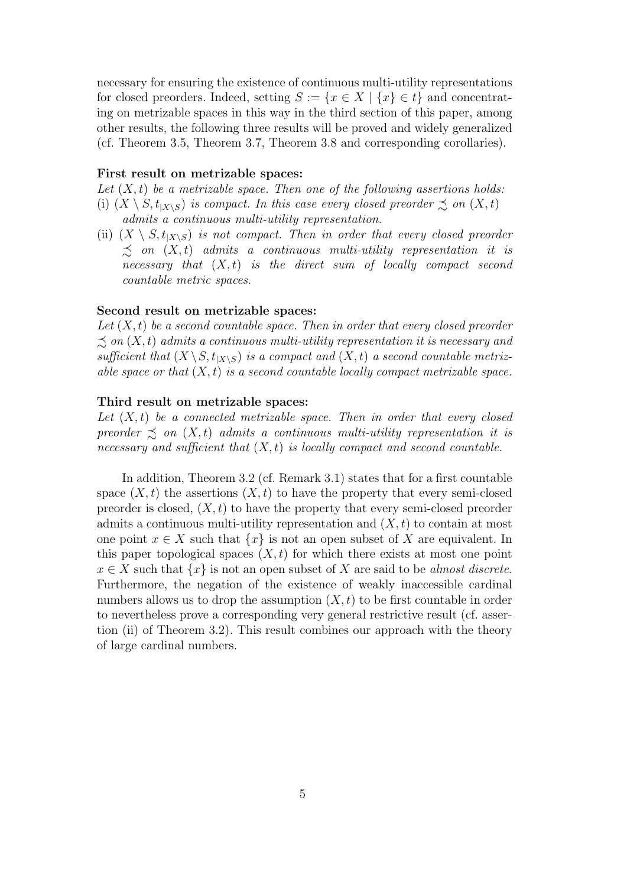necessary for ensuring the existence of continuous multi-utility representations for closed preorders. Indeed, setting  $S := \{x \in X \mid \{x\} \in t\}$  and concentrating on metrizable spaces in this way in the third section of this paper, among other results, the following three results will be proved and widely generalized (cf. Theorem 3.5, Theorem 3.7, Theorem 3.8 and corresponding corollaries).

#### **First result on metrizable spaces:**

*Let* (*X, t*) *be a metrizable space. Then one of the following assertions holds:* (i)  $(X \setminus S, t_{X \setminus S})$  *is compact. In this case every closed preorder*  $\precsim$  *on*  $(X, t)$ *admits a continuous multi-utility representation.*

(ii)  $(X \setminus S, t_{X \setminus S})$  *is not compact. Then in order that every closed preorder*  $\preceq$  *on*  $(X, t)$  *admits a continuous multi-utility representation it is necessary that* (*X, t*) *is the direct sum of locally compact second countable metric spaces.*

#### **Second result on metrizable spaces:**

*Let* (*X, t*) *be a second countable space. Then in order that every closed preorder*  $\preceq$  *on*  $(X, t)$  *admits a continuous multi-utility representation it is necessary and* sufficient that  $(X \setminus S, t_{|X \setminus S})$  is a compact and  $(X, t)$  a second countable metriz*able space or that* (*X, t*) *is a second countable locally compact metrizable space.*

## **Third result on metrizable spaces:**

*Let* (*X, t*) *be a connected metrizable space. Then in order that every closed preorder*  $\leq$  *on*  $(X, t)$  *admits a continuous multi-utility representation it is necessary and sufficient that* (*X, t*) *is locally compact and second countable.*

In addition, Theorem 3.2 (cf. Remark 3.1) states that for a first countable space  $(X, t)$  the assertions  $(X, t)$  to have the property that every semi-closed preorder is closed, (*X, t*) to have the property that every semi-closed preorder admits a continuous multi-utility representation and (*X, t*) to contain at most one point  $x \in X$  such that  $\{x\}$  is not an open subset of X are equivalent. In this paper topological spaces  $(X, t)$  for which there exists at most one point  $x \in X$  such that  $\{x\}$  is not an open subset of *X* are said to be *almost discrete*. Furthermore, the negation of the existence of weakly inaccessible cardinal numbers allows us to drop the assumption  $(X, t)$  to be first countable in order to nevertheless prove a corresponding very general restrictive result (cf. assertion (ii) of Theorem 3.2). This result combines our approach with the theory of large cardinal numbers.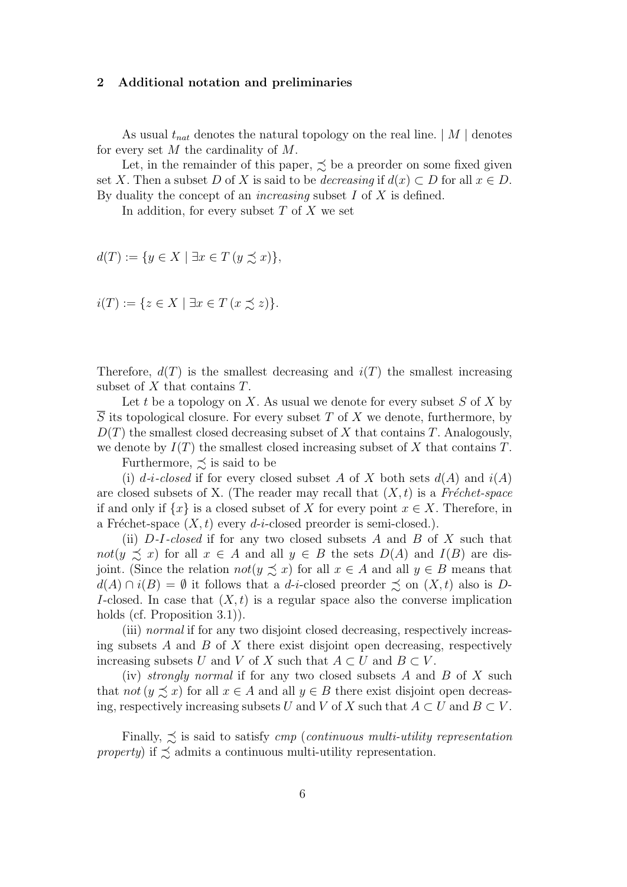#### **2 Additional notation and preliminaries**

As usual  $t_{nat}$  denotes the natural topology on the real line.  $|M|$  denotes for every set *M* the cardinality of *M*.

Let, in the remainder of this paper,  $\precsim$  be a preorder on some fixed given set *X*. Then a subset *D* of *X* is said to be *decreasing* if  $d(x) \subset D$  for all  $x \in D$ . By duality the concept of an *increasing* subset *I* of *X* is defined.

In addition, for every subset *T* of *X* we set

$$
d(T) := \{ y \in X \mid \exists x \in T \, (y \precsim x) \},
$$

$$
i(T) := \{ z \in X \mid \exists x \in T \ (x \preceq z) \}.
$$

Therefore,  $d(T)$  is the smallest decreasing and  $i(T)$  the smallest increasing subset of *X* that contains *T*.

Let *t* be a topology on *X*. As usual we denote for every subset *S* of *X* by *S* its topological closure. For every subset *T* of *X* we denote, furthermore, by *D*(*T*) the smallest closed decreasing subset of *X* that contains *T*. Analogously, we denote by  $I(T)$  the smallest closed increasing subset of  $X$  that contains  $T$ .

Furthermore,  $\precsim$  is said to be

(i)  $d-i$ -*closed* if for every closed subset *A* of *X* both sets  $d(A)$  and  $i(A)$ are closed subsets of X. (The reader may recall that  $(X, t)$  is a *Fréchet-space* if and only if  $\{x\}$  is a closed subset of *X* for every point  $x \in X$ . Therefore, in a Fréchet-space  $(X, t)$  every *d*-*i*-closed preorder is semi-closed.).

(ii) *D-I-closed* if for any two closed subsets *A* and *B* of *X* such that *not*( $y \leq x$ ) for all  $x \in A$  and all  $y \in B$  the sets  $D(A)$  and  $I(B)$  are disjoint. (Since the relation  $not(y \preceq x)$  for all  $x \in A$  and all  $y \in B$  means that  $d(A) \cap i(B) = \emptyset$  it follows that a *d*-*i*-closed preorder  $\precsim$  on  $(X, t)$  also is *D*-*I*-closed. In case that  $(X, t)$  is a regular space also the converse implication holds (cf. Proposition 3.1)).

(iii) *normal* if for any two disjoint closed decreasing, respectively increasing subsets *A* and *B* of *X* there exist disjoint open decreasing, respectively increasing subsets *U* and *V* of *X* such that  $A \subset U$  and  $B \subset V$ .

(iv) *strongly normal* if for any two closed subsets *A* and *B* of *X* such that  $not (y \preceq x)$  for all  $x \in A$  and all  $y \in B$  there exist disjoint open decreasing, respectively increasing subsets *U* and *V* of *X* such that  $A \subset U$  and  $B \subset V$ .

Finally,  $\lesssim$  is said to satisfy *cmp* (*continuous multi-utility representation property*) if  $\precsim$  admits a continuous multi-utility representation.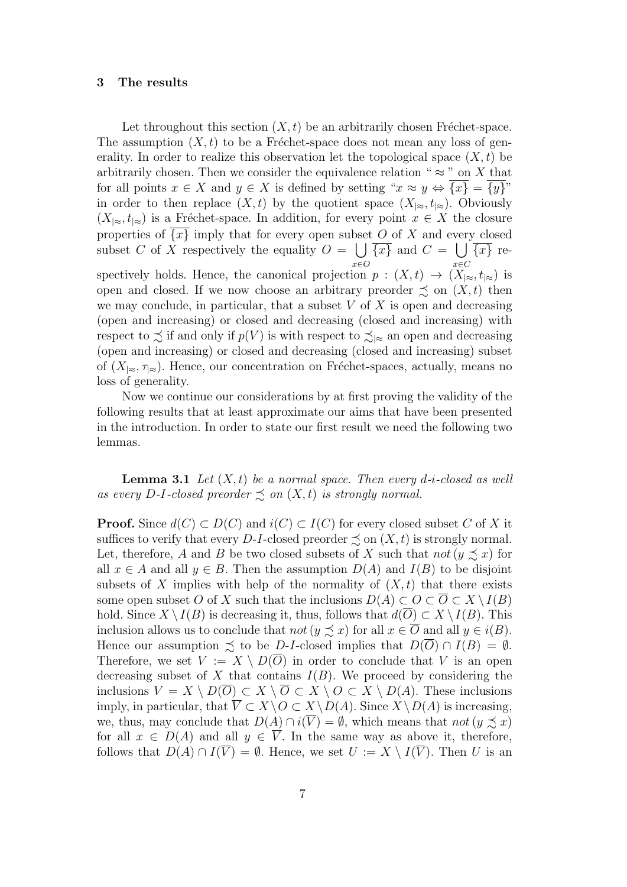## **3 The results**

Let throughout this section  $(X, t)$  be an arbitrarily chosen Fréchet-space. The assumption  $(X, t)$  to be a Fréchet-space does not mean any loss of generality. In order to realize this observation let the topological space  $(X, t)$  be arbitrarily chosen. Then we consider the equivalence relation " $\approx$  " on *X* that for all points  $x \in X$  and  $y \in X$  is defined by setting " $x \approx y \Leftrightarrow \{x\} = \{y\}$ " in order to then replace  $(X, t)$  by the quotient space  $(X_{\infty}, t_{\infty})$ . Obviously  $(X_{\infty}, t_{\infty})$  is a Fréchet-space. In addition, for every point  $x \in X$  the closure properties of  $\{x\}$  imply that for every open subset O of X and every closed subset *C* of  $\overline{X}$  respectively the equality  $O = \cup$ *x∈O*  $\overline{\{x\}}$  and  $C = \bigcup$ *x∈C {x}* respectively holds. Hence, the canonical projection  $p : (X,t) \to (X_{|\approx}, t_{|\approx})$  is open and closed. If we now choose an arbitrary preorder  $\precsim$  on  $(X, t)$  then we may conclude, in particular, that a subset *V* of *X* is open and decreasing (open and increasing) or closed and decreasing (closed and increasing) with respect to  $\precsim$  if and only if  $p(V)$  is with respect to  $\precsim_{\geq}$  an open and decreasing (open and increasing) or closed and decreasing (closed and increasing) subset of  $(X_{\infty}, \tau_{\infty})$ . Hence, our concentration on Fréchet-spaces, actually, means no loss of generality.

Now we continue our considerations by at first proving the validity of the following results that at least approximate our aims that have been presented in the introduction. In order to state our first result we need the following two lemmas.

**Lemma 3.1** *Let*  $(X, t)$  *be a normal space. Then every d-i-closed as well as every* D-I-closed preorder  $\leq$  on  $(X, t)$  is strongly normal.

**Proof.** Since  $d(C) \subset D(C)$  and  $i(C) \subset I(C)$  for every closed subset *C* of *X* it suffices to verify that every *D*-*I*-closed preorder  $\preceq$  on  $(X, t)$  is strongly normal. Let, therefore, *A* and *B* be two closed subsets of *X* such that *not* ( $y \preceq x$ ) for all  $x \in A$  and all  $y \in B$ . Then the assumption  $D(A)$  and  $I(B)$  to be disjoint subsets of *X* implies with help of the normality of  $(X, t)$  that there exists some open subset *O* of *X* such that the inclusions  $D(A) \subset O \subset \overline{O} \subset X \setminus I(B)$ hold. Since  $X \setminus I(B)$  is decreasing it, thus, follows that  $d(\overline{O}) \subset X \setminus I(B)$ . This inclusion allows us to conclude that *not* ( $y \precsim x$ ) for all  $x \in \overline{O}$  and all  $y \in i(B)$ . Hence our assumption  $\preceq$  to be *D*-*I*-closed implies that  $D(\overline{O}) \cap I(B) = \emptyset$ . Therefore, we set  $V := X \setminus D(\overline{O})$  in order to conclude that V is an open decreasing subset of  $X$  that contains  $I(B)$ . We proceed by considering the inclusions *V* = *X \ D*(*O*) *⊂ X \ O ⊂ X \ O ⊂ X \ D*(*A*). These inclusions imply, in particular, that  $\overline{V}$  ⊂  $X \setminus O$  ⊂  $X \setminus D(A)$ . Since  $X \setminus D(A)$  is increasing, we, thus, may conclude that  $D(A) \cap i(\overline{V}) = \emptyset$ , which means that *not*  $(y \preceq x)$ for all  $x \in D(A)$  and all  $y \in V$ . In the same way as above it, therefore, follows that  $D(A) \cap I(\overline{V}) = \emptyset$ . Hence, we set  $U := X \setminus I(\overline{V})$ . Then *U* is an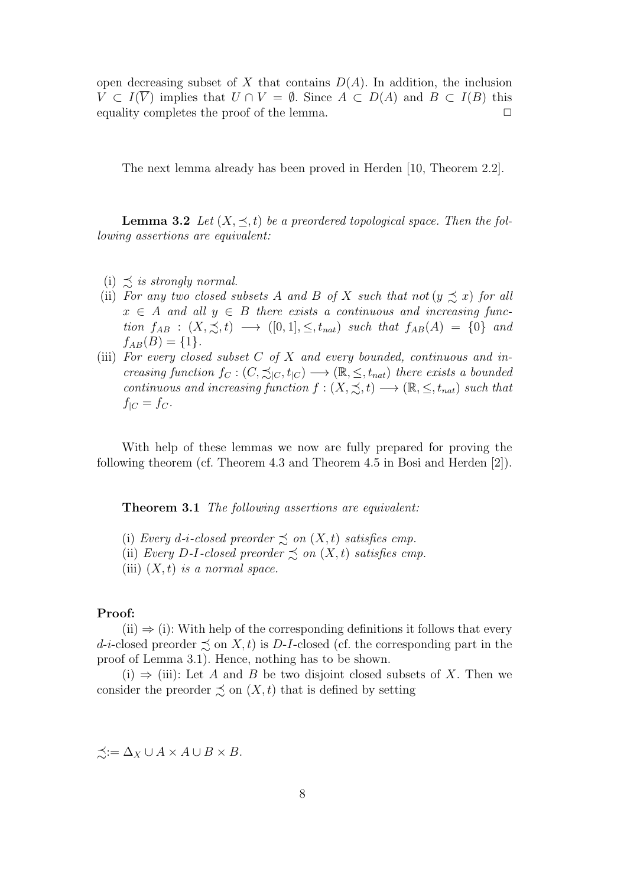open decreasing subset of *X* that contains  $D(A)$ . In addition, the inclusion *V* ⊂ *I*( $\overline{V}$ ) implies that *U* ∩ *V* =  $\emptyset$ . Since *A* ⊂ *D*(*A*) and *B* ⊂ *I*(*B*) this equality completes the proof of the lemma.  $\Box$ 

The next lemma already has been proved in Herden [10, Theorem 2.2].

**Lemma 3.2** *Let*  $(X, \leq, t)$  *be a preordered topological space. Then the following assertions are equivalent:*

- $(i) \preceq$  *is strongly normal.*
- (ii) *For any two closed subsets A and B of X such that not* ( $y \preceq x$ ) *for all*  $x \in A$  *and all*  $y \in B$  *there exists a continuous and increasing func-* $\phi$  *tion*  $f_{AB}$  :  $(X, \preceq, t) \longrightarrow ([0, 1], \leq, t_{nat})$  *such that*  $f_{AB}(A) = \{0\}$  *and*  $f_{AB}(B) = \{1\}.$
- (iii) *For every closed subset C of X and every bounded, continuous and increasing function*  $f_C : (C, \preceq_{|C}, t_{|C}) \longrightarrow (\mathbb{R}, \leq, t_{nat})$  *there exists a bounded continuous and increasing function*  $f : (X, \preceq, t) \longrightarrow (\mathbb{R}, \leq, t_{nat})$  *such that*  $f|_C = f_C$ .

With help of these lemmas we now are fully prepared for proving the following theorem (cf. Theorem 4.3 and Theorem 4.5 in Bosi and Herden [2]).

**Theorem 3.1** *The following assertions are equivalent:*

- (i) *Every d*-*i*-*closed preorder*  $\precsim$  *on*  $(X, t)$  *satisfies cmp.*
- (ii) *Every D*-*I*-closed preorder  $\precsim$  *on*  $(X, t)$  *satisfies cmp.*
- (iii) (*X, t*) *is a normal space.*

#### **Proof:**

 $(ii) \Rightarrow (i)$ : With help of the corresponding definitions it follows that every *d*-*i*-closed preorder  $\leq$  on *X, t*) is *D*-*I*-closed (cf. the corresponding part in the proof of Lemma 3.1). Hence, nothing has to be shown.

(i) *⇒* (iii): Let *A* and *B* be two disjoint closed subsets of *X*. Then we consider the preorder  $\precsim$  on  $(X, t)$  that is defined by setting

 $\preceq$ :  $\Delta$ <sub>*X</sub>* ∪ *A* × *A* ∪ *B* × *B*.</sub>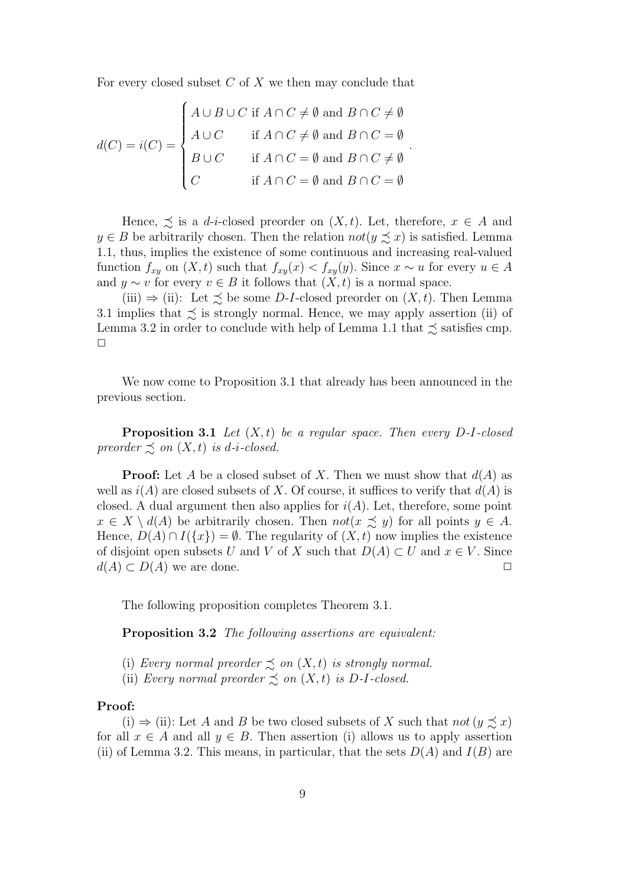For every closed subset *C* of *X* we then may conclude that

$$
d(C) = i(C) = \begin{cases} A \cup B \cup C & \text{if } A \cap C \neq \emptyset \text{ and } B \cap C \neq \emptyset \\ A \cup C & \text{if } A \cap C \neq \emptyset \text{ and } B \cap C = \emptyset \\ B \cup C & \text{if } A \cap C = \emptyset \text{ and } B \cap C \neq \emptyset \\ C & \text{if } A \cap C = \emptyset \text{ and } B \cap C = \emptyset \end{cases}.
$$

Hence,  $\leq$  is a *d*-*i*-closed preorder on  $(X, t)$ . Let, therefore,  $x \in A$  and  $y \in B$  be arbitrarily chosen. Then the relation  $not(y \preceq x)$  is satisfied. Lemma 1.1, thus, implies the existence of some continuous and increasing real-valued function  $f_{xy}$  on  $(X, t)$  such that  $f_{xy}(x) < f_{xy}(y)$ . Since  $x \sim u$  for every  $u \in A$ and  $y \sim v$  for every  $v \in B$  it follows that  $(X, t)$  is a normal space.

(iii)  $\Rightarrow$  (ii): Let  $\preceq$  be some *D*-*I*-closed preorder on  $(X, t)$ . Then Lemma 3.1 implies that  $\lesssim$  is strongly normal. Hence, we may apply assertion (ii) of Lemma 3.2 in order to conclude with help of Lemma 1.1 that  $\precsim$  satisfies cmp.  $\Box$ 

We now come to Proposition 3.1 that already has been announced in the previous section.

**Proposition 3.1** *Let* (*X, t*) *be a regular space. Then every D-I-closed preorder*  $\precsim$  *on*  $(X, t)$  *is d-i-closed.* 

**Proof:** Let *A* be a closed subset of *X*. Then we must show that *d*(*A*) as well as  $i(A)$  are closed subsets of X. Of course, it suffices to verify that  $d(A)$  is closed. A dual argument then also applies for  $i(A)$ . Let, therefore, some point  $x \in X \setminus d(A)$  be arbitrarily chosen. Then  $not(x \precsim y)$  for all points  $y \in A$ . Hence,  $D(A) \cap I({x}) = \emptyset$ . The regularity of  $(X, t)$  now implies the existence of disjoint open subsets *U* and *V* of *X* such that  $D(A) \subset U$  and  $x \in V$ . Since  $d(A) \subset D(A)$  we are done.  $\Box$ 

The following proposition completes Theorem 3.1.

**Proposition 3.2** *The following assertions are equivalent:*

- (i) *Every normal preorder*  $\precsim$  *on*  $(X, t)$  *is strongly normal.*
- (ii) *Every normal preorder*  $\precsim$  *on*  $(X, t)$  *is*  $D$ -*I*-closed.

#### **Proof:**

(i)  $\Rightarrow$  (ii): Let *A* and *B* be two closed subsets of *X* such that *not* (*y*  $\leq x$ ) for all  $x \in A$  and all  $y \in B$ . Then assertion (i) allows us to apply assertion (ii) of Lemma 3.2. This means, in particular, that the sets  $D(A)$  and  $I(B)$  are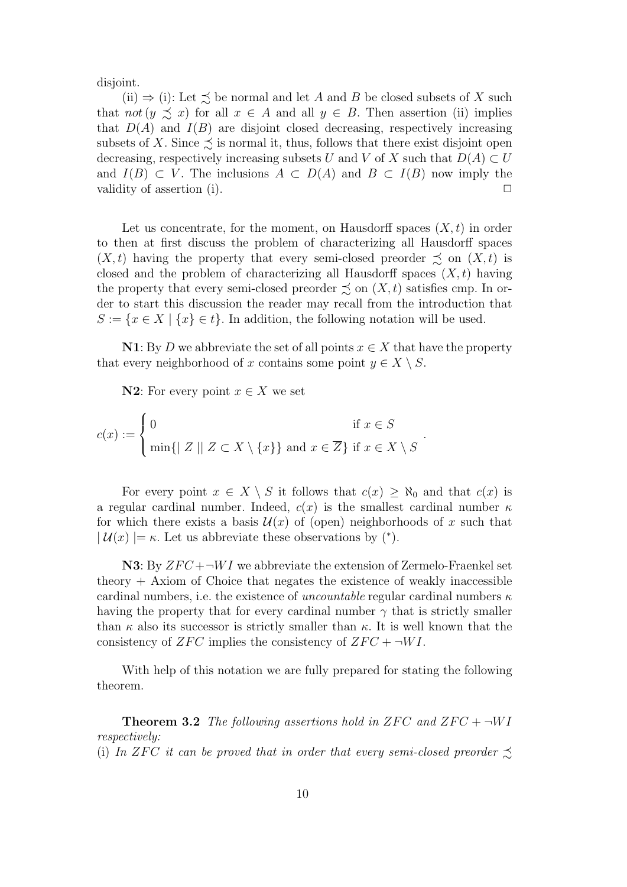disjoint.

(ii)  $\Rightarrow$  (i): Let  $\preceq$  be normal and let *A* and *B* be closed subsets of *X* such that *not*  $(y \preceq x)$  for all  $x \in A$  and all  $y \in B$ . Then assertion (ii) implies that  $D(A)$  and  $I(B)$  are disjoint closed decreasing, respectively increasing subsets of X. Since  $\preceq$  is normal it, thus, follows that there exist disjoint open decreasing, respectively increasing subsets *U* and *V* of *X* such that  $D(A) \subset U$ and  $I(B) \subset V$ . The inclusions  $A \subset D(A)$  and  $B \subset I(B)$  now imply the validity of assertion (i).  $\Box$ 

Let us concentrate, for the moment, on Hausdorff spaces  $(X, t)$  in order to then at first discuss the problem of characterizing all Hausdorff spaces  $(X, t)$  having the property that every semi-closed preorder  $\precsim$  on  $(X, t)$  is closed and the problem of characterizing all Hausdorff spaces  $(X, t)$  having the property that every semi-closed preorder  $\precsim$  on  $(X, t)$  satisfies cmp. In order to start this discussion the reader may recall from the introduction that  $S := \{x \in X \mid \{x\} \in t\}.$  In addition, the following notation will be used.

**N1**: By *D* we abbreviate the set of all points  $x \in X$  that have the property that every neighborhood of *x* contains some point  $y \in X \setminus S$ .

*.*

**N2**: For every point  $x \in X$  we set

$$
c(x) := \begin{cases} 0 & \text{if } x \in S \\ \min\{ | \ Z \mid | \ Z \subset X \setminus \{x\} \} \text{ and } x \in \overline{Z} \} \text{ if } x \in X \setminus S \end{cases}
$$

For every point  $x \in X \setminus S$  it follows that  $c(x) \geq \aleph_0$  and that  $c(x)$  is a regular cardinal number. Indeed,  $c(x)$  is the smallest cardinal number  $\kappa$ for which there exists a basis  $\mathcal{U}(x)$  of (open) neighborhoods of x such that  $| \mathcal{U}(x) | = \kappa$ . Let us abbreviate these observations by  $(*).$ 

**N3**: By  $ZFC + \neg WI$  we abbreviate the extension of Zermelo-Fraenkel set theory  $+$  Axiom of Choice that negates the existence of weakly inaccessible cardinal numbers, i.e. the existence of *uncountable* regular cardinal numbers *κ* having the property that for every cardinal number  $\gamma$  that is strictly smaller than  $\kappa$  also its successor is strictly smaller than  $\kappa$ . It is well known that the consistency of *ZFC* implies the consistency of  $ZFC + \neg WI$ .

With help of this notation we are fully prepared for stating the following theorem.

**Theorem 3.2** *The following assertions hold in*  $ZFC$  *and*  $ZFC + \neg WI$ *respectively:* (i) In *ZFC it can be proved that in order that every semi-closed preorder*  $\preceq$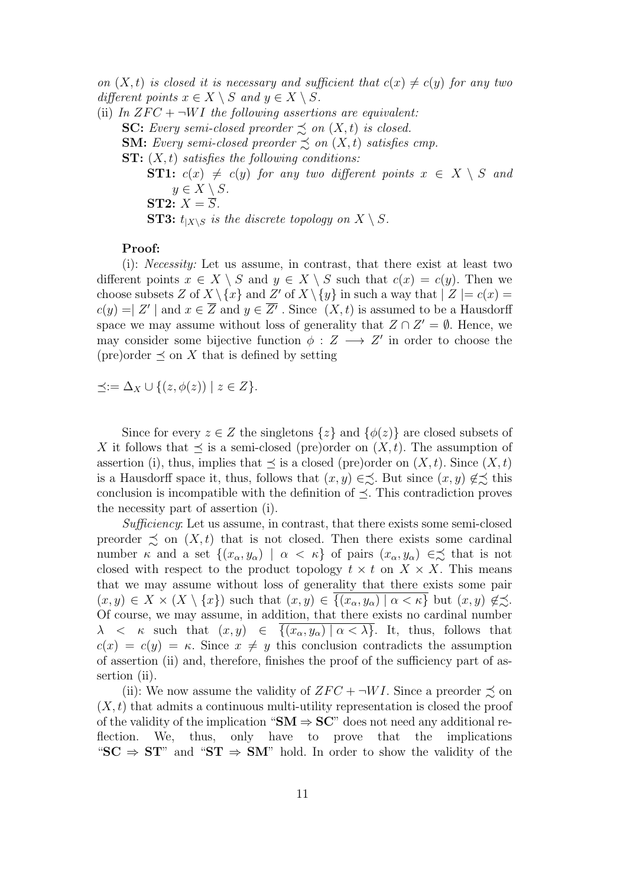*on*  $(X, t)$  *is closed it is necessary and sufficient that*  $c(x) \neq c(y)$  *for any two different points*  $x \in X \setminus S$  *and*  $y \in X \setminus S$ *.* 

(ii) In  $ZFC + \neg WI$  the following assertions are equivalent: **SC:** *Every semi-closed preorder*  $\precsim$  *on*  $(X, t)$  *is closed.* **SM:** *Every semi-closed preorder*  $\preceq$  *on*  $(X, t)$  *satisfies cmp.* **ST:** (*X, t*) *satisfies the following conditions:* **ST1:**  $c(x) \neq c(y)$  for any two different points  $x \in X \setminus S$  and  $y \in X \setminus S$ *.* **ST2:**  $X = \overline{S}$ *.* **ST3:**  $t_{|X \setminus S}$  *is the discrete topology on*  $X \setminus S$ *.* 

# **Proof:**

(i): *Necessity:* Let us assume, in contrast, that there exist at least two different points  $x \in X \setminus S$  and  $y \in X \setminus S$  such that  $c(x) = c(y)$ . Then we choose subsets *Z* of  $X \setminus \{x\}$  and  $Z'$  of  $X \setminus \{y\}$  in such a way that  $|Z| = c(x) =$  $c(y) = |Z'|$  and  $x \in \overline{Z}$  and  $y \in \overline{Z'}$ . Since  $(X, t)$  is assumed to be a Hausdorff space we may assume without loss of generality that  $Z \cap Z' = \emptyset$ . Hence, we may consider some bijective function  $\phi : Z \longrightarrow Z'$  in order to choose the (pre)order  $\preceq$  on X that is defined by setting

*≼*:= ∆*<sup>X</sup> ∪ {*(*z, ϕ*(*z*)) *| z ∈ Z}.*

Since for every  $z \in Z$  the singletons  $\{z\}$  and  $\{\phi(z)\}\$  are closed subsets of *X* it follows that  $\preceq$  is a semi-closed (pre)order on  $(X, t)$ . The assumption of assertion (i), thus, implies that  $\preceq$  is a closed (pre)order on  $(X, t)$ . Since  $(X, t)$ is a Hausdorff space it, thus, follows that  $(x, y) \in \leq$ . But since  $(x, y) \notin \leq$  this conclusion is incompatible with the definition of *≼*. This contradiction proves the necessity part of assertion (i).

*Sufficiency*: Let us assume, in contrast, that there exists some semi-closed preorder  $\preceq$  on  $(X, t)$  that is not closed. Then there exists some cardinal number *κ* and a set  $\{(x_{\alpha}, y_{\alpha}) | \alpha < \kappa\}$  of pairs  $(x_{\alpha}, y_{\alpha}) \in \leq$  that is not closed with respect to the product topology  $t \times t$  on  $X \times X$ . This means that we may assume without loss of generality that there exists some pair  $(x, y) \in X \times (X \setminus \{x\})$  such that  $(x, y) \in \overline{\{(x_{\alpha}, y_{\alpha}) \mid \alpha < \kappa\}}$  but  $(x, y) \notin \precsim$ . Of course, we may assume, in addition, that there exists no cardinal number *λ* < *κ* such that  $(x, y)$  ∈  ${(x<sub>α</sub>, y<sub>α</sub>) | α < λ}.$  It, thus, follows that  $c(x) = c(y) = \kappa$ . Since  $x \neq y$  this conclusion contradicts the assumption of assertion (ii) and, therefore, finishes the proof of the sufficiency part of assertion (ii).

(ii): We now assume the validity of  $ZFC + \neg WI$ . Since a preorder  $\precsim$  on  $(X, t)$  that admits a continuous multi-utility representation is closed the proof of the validity of the implication " $SM \Rightarrow SC$ " does not need any additional reflection. We, thus, only have to prove that the implications " $SC \Rightarrow ST$ " and " $ST \Rightarrow SM$ " hold. In order to show the validity of the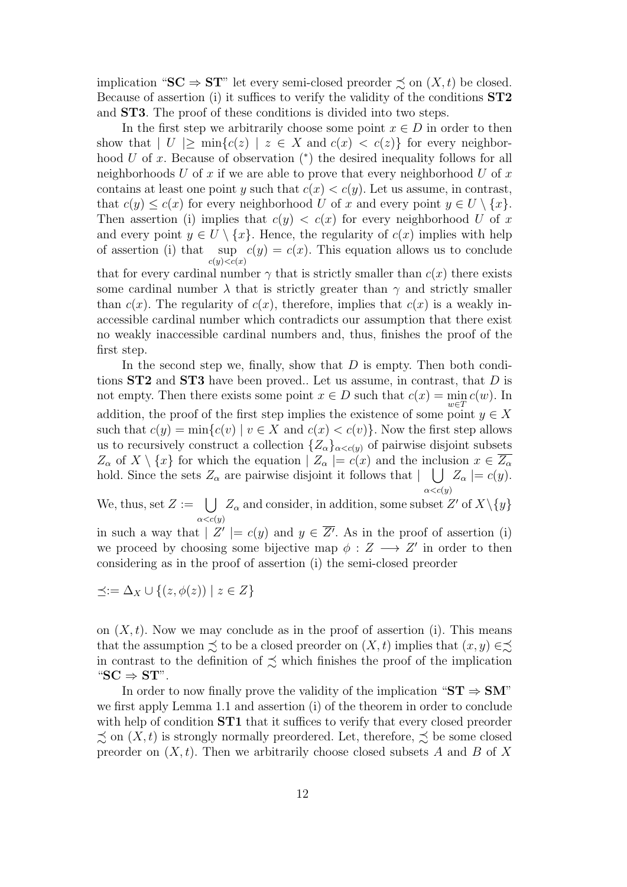implication " $SC \Rightarrow ST$ " let every semi-closed preorder  $\precsim$  on  $(X, t)$  be closed. Because of assertion (i) it suffices to verify the validity of the conditions **ST2** and **ST3**. The proof of these conditions is divided into two steps.

In the first step we arbitrarily choose some point  $x \in D$  in order to then show that  $|U| \ge \min\{c(z) \mid z \in X \text{ and } c(x) < c(z)\}\)$  for every neighborhood *U* of *x*. Because of observation (\*) the desired inequality follows for all neighborhoods *U* of *x* if we are able to prove that every neighborhood *U* of *x* contains at least one point *y* such that  $c(x) < c(y)$ . Let us assume, in contrast, that  $c(y) \leq c(x)$  for every neighborhood *U* of *x* and every point  $y \in U \setminus \{x\}$ . Then assertion (i) implies that  $c(y) < c(x)$  for every neighborhood *U* of *x* and every point  $y \in U \setminus \{x\}$ . Hence, the regularity of  $c(x)$  implies with help of assertion (i) that sup  $c(y) = c(x)$ . This equation allows us to conclude  $c(y)$   $\lt c(x)$ 

that for every cardinal number  $\gamma$  that is strictly smaller than  $c(x)$  there exists some cardinal number  $\lambda$  that is strictly greater than  $\gamma$  and strictly smaller than  $c(x)$ . The regularity of  $c(x)$ , therefore, implies that  $c(x)$  is a weakly inaccessible cardinal number which contradicts our assumption that there exist no weakly inaccessible cardinal numbers and, thus, finishes the proof of the first step.

In the second step we, finally, show that *D* is empty. Then both conditions **ST2** and **ST3** have been proved.. Let us assume, in contrast, that *D* is not empty. Then there exists some point  $x \in D$  such that  $c(x) = \min_{x \in D} c(w)$ . In addition, the proof of the first step implies the existence of some point  $y \in X$ such that  $c(y) = \min\{c(v) \mid v \in X \text{ and } c(x) < c(v)\}\.$  Now the first step allows us to recursively construct a collection  ${Z_\alpha}_{\alpha < c(y)}$  of pairwise disjoint subsets *Z*<sup>*α*</sup> of *X*  $\setminus \{x\}$  for which the equation  $|Z_\alpha| = c(x)$  and the inclusion  $x \in \overline{Z_\alpha}$ hold. Since the sets  $Z_{\alpha}$  are pairwise disjoint it follows that  $| \bigcup Z_{\alpha} | = c(y)$ . *α<c*(*y*)

We, thus, set  $Z := \bigcup Z_\alpha$  and consider, in addition, some subset  $Z'$  of  $X \setminus \{y\}$  $\alpha < c(y)$ 

in such a way that  $|Z'|=c(y)$  and  $y \in Z'$ . As in the proof of assertion (i) we proceed by choosing some bijective map  $\phi : Z \longrightarrow Z'$  in order to then considering as in the proof of assertion (i) the semi-closed preorder

$$
\preceq := \Delta_X \cup \{ (z, \phi(z)) \mid z \in Z \}
$$

on  $(X, t)$ . Now we may conclude as in the proof of assertion (i). This means that the assumption  $\precsim$  to be a closed preorder on  $(X, t)$  implies that  $(x, y) \in \precsim$ in contrast to the definition of  $\precsim$  which finishes the proof of the implication " $SC \Rightarrow ST$ ".

In order to now finally prove the validity of the implication " $ST \Rightarrow SM$ " we first apply Lemma 1.1 and assertion (i) of the theorem in order to conclude with help of condition **ST1** that it suffices to verify that every closed preorder  $\precsim$  on  $(X, t)$  is strongly normally preordered. Let, therefore,  $\precsim$  be some closed preorder on (*X, t*). Then we arbitrarily choose closed subsets *A* and *B* of *X*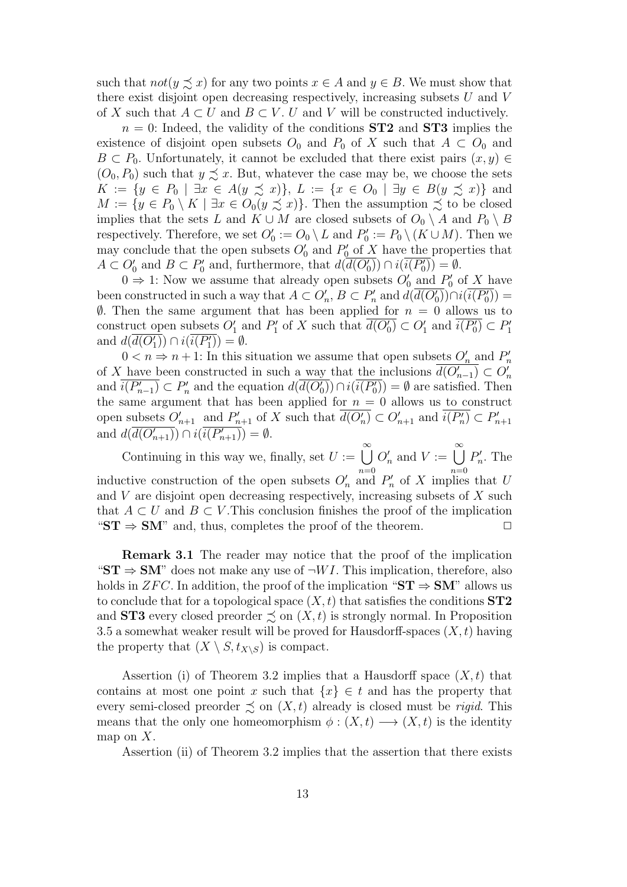such that  $not(y \preceq x)$  for any two points  $x \in A$  and  $y \in B$ . We must show that there exist disjoint open decreasing respectively, increasing subsets *U* and *V* of *X* such that  $A \subset U$  and  $B \subset V$ . *U* and *V* will be constructed inductively.

 $n = 0$ : Indeed, the validity of the conditions **ST2** and **ST3** implies the existence of disjoint open subsets  $O_0$  and  $P_0$  of X such that  $A \subset O_0$  and *B*  $\subset$  *P*<sub>0</sub>. Unfortunately, it cannot be excluded that there exist pairs  $(x, y)$  ∈  $(O_0, P_0)$  such that  $y \precsim x$ . But, whatever the case may be, we choose the sets  $K := \{y \in P_0 \mid \exists x \in A(y \preceq x)\}, L := \{x \in O_0 \mid \exists y \in B(y \preceq x)\}\$ and *M* := { $y \in P_0 \setminus K$  | ∃ $x \in O_0(y \precsim x)$ }. Then the assumption  $\precsim$  to be closed implies that the sets *L* and  $K \cup M$  are closed subsets of  $O_0 \setminus A$  and  $P_0 \setminus B$ respectively. Therefore, we set  $O'_0 := O_0 \setminus L$  and  $P'_0 := P_0 \setminus (K \cup M)$ . Then we may conclude that the open subsets  $O'_{0}$  and  $P'_{0}$  of  $X$  have the properties that  $A \subset O'_0$  and  $B \subset P'_0$  and, furthermore, that  $d(d(O'_0)) \cap i(i(P'_0)) = \emptyset$ .

0  $\Rightarrow$  1: Now we assume that already open subsets  $O'_0$  and  $P'_0$  of X have been constructed in such a way that  $A \subset O'_n$ ,  $B \subset P'_n$  and  $d(d(O'_0)) \cap i(i(P'_0)) =$  $\emptyset$ . Then the same argument that has been applied for  $n = 0$  allows us to construct open subsets  $O'_1$  and  $P'_1$  of  $X$  such that  $d(O'_0) \subset O'_1$  and  $i(P'_0) \subset P'_1$ and  $d(d(O'_1)) \cap i(i(P'_1)) = \emptyset$ .

 $0 < n \Rightarrow n+1$ : In this situation we assume that open subsets  $O'_n$  and  $P'_n$ of *X* have been constructed in such a way that the inclusions  $d(O'_{n-1}) \subset O'_n$ and  $i(P'_{n-1}) \subset P'_n$  and the equation  $d(d(O'_0)) \cap i(i(P'_0)) = \emptyset$  are satisfied. Then the same argument that has been applied for  $n = 0$  allows us to construct open subsets  $O'_{n+1}$  and  $P'_{n+1}$  of X such that  $d(O'_n) \subset O'_{n+1}$  and  $i(P'_n) \subset P'_{n+1}$ and  $d(d(O'_{n+1})) \cap i(i(P'_{n+1})) = \emptyset$ .

Continuing in this way we, finally, set  $U := \bigcup_{n=0}^{\infty} O'_n$  and  $V := \bigcup_{n=0}^{\infty} P'_n$ . The inductive construction of the open subsets  $O'_{n}$  and  $P'_{n}$  of *X* implies that *U* and *V* are disjoint open decreasing respectively, increasing subsets of *X* such that  $A \subset U$  and  $B \subset V$ . This conclusion finishes the proof of the implication  $\mathbf{S} \mathbf{T} \Rightarrow \mathbf{S} \mathbf{M}$ " and, thus, completes the proof of the theorem.  $\Box$ 

**Remark 3.1** The reader may notice that the proof of the implication " $\mathbf{ST} \Rightarrow \mathbf{SM}$ " does not make any use of  $\neg W I$ . This implication, therefore, also holds in *ZFC*. In addition, the proof of the implication " $ST \Rightarrow SM$ " allows us to conclude that for a topological space  $(X, t)$  that satisfies the conditions  $ST2$ and **ST3** every closed preorder  $\leq$  on  $(X, t)$  is strongly normal. In Proposition 3.5 a somewhat weaker result will be proved for Hausdorff-spaces (*X, t*) having the property that  $(X \setminus S, t_{X \setminus S})$  is compact.

Assertion (i) of Theorem 3.2 implies that a Hausdorff space (*X, t*) that contains at most one point *x* such that  ${x \in t}$  and has the property that every semi-closed preorder  $\precsim$  on  $(X, t)$  already is closed must be *rigid*. This means that the only one homeomorphism  $\phi: (X, t) \longrightarrow (X, t)$  is the identity map on *X*.

Assertion (ii) of Theorem 3.2 implies that the assertion that there exists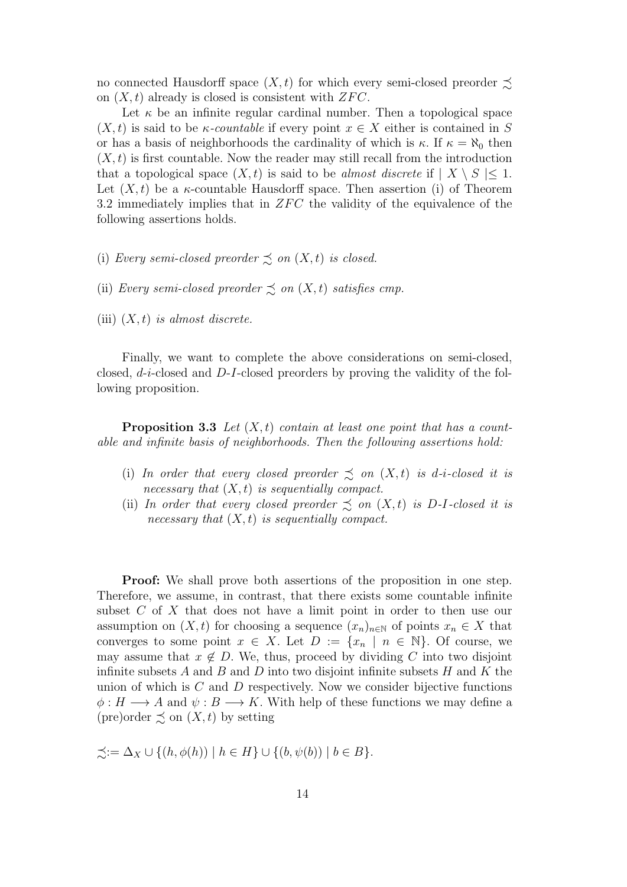no connected Hausdorff space  $(X, t)$  for which every semi-closed preorder  $\preceq$ on  $(X, t)$  already is closed is consistent with  $ZFC$ .

Let  $\kappa$  be an infinite regular cardinal number. Then a topological space  $(X, t)$  is said to be *κ-countable* if every point  $x \in X$  either is contained in S or has a basis of neighborhoods the cardinality of which is  $\kappa$ . If  $\kappa = \aleph_0$  then  $(X, t)$  is first countable. Now the reader may still recall from the introduction that a topological space  $(X, t)$  is said to be *almost discrete* if  $| X \setminus S | \leq 1$ . Let  $(X, t)$  be a  $\kappa$ -countable Hausdorff space. Then assertion (i) of Theorem 3.2 immediately implies that in *ZFC* the validity of the equivalence of the following assertions holds.

- (i) *Every semi-closed preorder*  $\precsim$  *on*  $(X, t)$  *is closed.*
- (ii) *Every semi-closed preorder*  $\precsim$  *on*  $(X, t)$  *satisfies cmp.*
- (iii) (*X, t*) *is almost discrete.*

Finally, we want to complete the above considerations on semi-closed, closed, *d*-*i*-closed and *D*-*I*-closed preorders by proving the validity of the following proposition.

**Proposition 3.3** *Let* (*X, t*) *contain at least one point that has a countable and infinite basis of neighborhoods. Then the following assertions hold:*

- (i) In order that every closed preorder  $\precsim$  on  $(X,t)$  is d-i-closed it is *necessary that* (*X, t*) *is sequentially compact.*
- (ii) *In order that every closed preorder*  $\preceq$  *on*  $(X, t)$  *is D-I-closed it is necessary that* (*X, t*) *is sequentially compact.*

**Proof:** We shall prove both assertions of the proposition in one step. Therefore, we assume, in contrast, that there exists some countable infinite subset *C* of *X* that does not have a limit point in order to then use our assumption on  $(X, t)$  for choosing a sequence  $(x_n)_{n \in \mathbb{N}}$  of points  $x_n \in X$  that converges to some point  $x \in X$ . Let  $D := \{x_n \mid n \in \mathbb{N}\}\$ . Of course, we may assume that  $x \notin D$ . We, thus, proceed by dividing C into two disjoint infinite subsets *A* and *B* and *D* into two disjoint infinite subsets *H* and *K* the union of which is *C* and *D* respectively. Now we consider bijective functions  $\phi: H \longrightarrow A$  and  $\psi: B \longrightarrow K$ . With help of these functions we may define a (pre)order  $\precsim$  on  $(X, t)$  by setting

 $\preceq := \Delta_X \cup \{(h, \phi(h)) \mid h \in H\} \cup \{(b, \psi(b)) \mid b \in B\}.$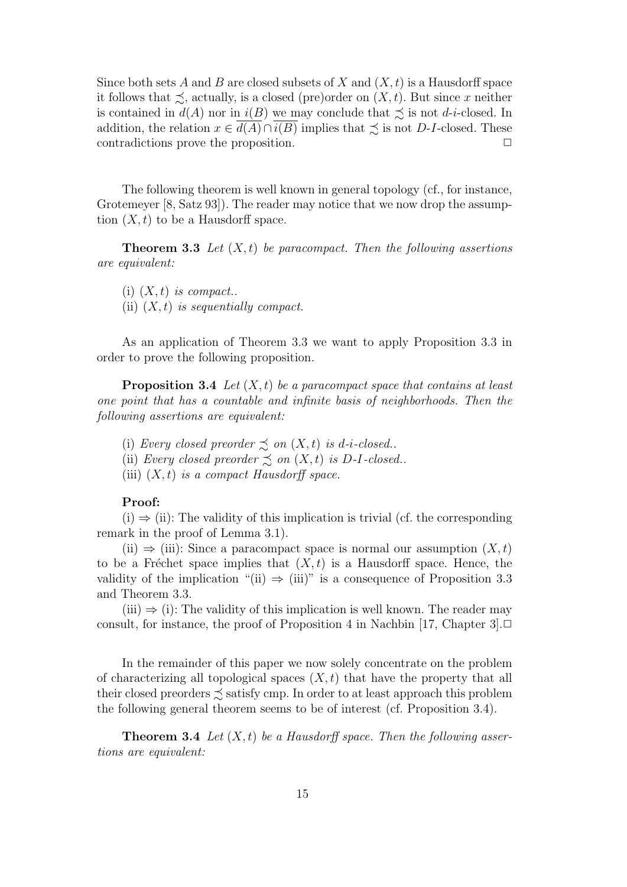Since both sets *A* and *B* are closed subsets of *X* and (*X, t*) is a Hausdorff space it follows that  $\preceq$ , actually, is a closed (pre)order on  $(X, t)$ . But since *x* neither is contained in  $d(A)$  nor in  $i(B)$  we may conclude that  $\precsim$  is not *d*-*i*-closed. In addition, the relation  $x \in d(A) \cap i(B)$  implies that  $\precsim$  is not *D*-*I*-closed. These contradictions prove the proposition. **□** 

The following theorem is well known in general topology (cf., for instance, Grotemeyer [8, Satz 93]). The reader may notice that we now drop the assumption  $(X, t)$  to be a Hausdorff space.

**Theorem 3.3** *Let* (*X, t*) *be paracompact. Then the following assertions are equivalent:*

 $(i)$   $(X, t)$  *is compact..* (ii) (*X, t*) *is sequentially compact.*

As an application of Theorem 3.3 we want to apply Proposition 3.3 in order to prove the following proposition.

**Proposition 3.4** *Let* (*X, t*) *be a paracompact space that contains at least one point that has a countable and infinite basis of neighborhoods. Then the following assertions are equivalent:*

(i) *Every closed preorder*  $\precsim$  *on*  $(X, t)$  *is d-i-closed..* 

(ii) *Every closed preorder*  $\precsim$  *on*  $(X, t)$  *is*  $D$ -*I*-*closed..* 

(iii) (*X, t*) *is a compact Hausdorff space.*

## **Proof:**

 $(i) \Rightarrow (ii)$ : The validity of this implication is trivial (cf. the corresponding remark in the proof of Lemma 3.1).

(ii)  $\Rightarrow$  (iii): Since a paracompact space is normal our assumption  $(X, t)$ to be a Fréchet space implies that  $(X, t)$  is a Hausdorff space. Hence, the validity of the implication "(ii)  $\Rightarrow$  (iii)" is a consequence of Proposition 3.3 and Theorem 3.3.

 $(iii) \Rightarrow (i)$ : The validity of this implication is well known. The reader may consult, for instance, the proof of Proposition 4 in Nachbin [17, Chapter 3]. $\Box$ 

In the remainder of this paper we now solely concentrate on the problem of characterizing all topological spaces  $(X, t)$  that have the property that all their closed preorders  $\lesssim$  satisfy cmp. In order to at least approach this problem the following general theorem seems to be of interest (cf. Proposition 3.4).

**Theorem 3.4** *Let* (*X, t*) *be a Hausdorff space. Then the following assertions are equivalent:*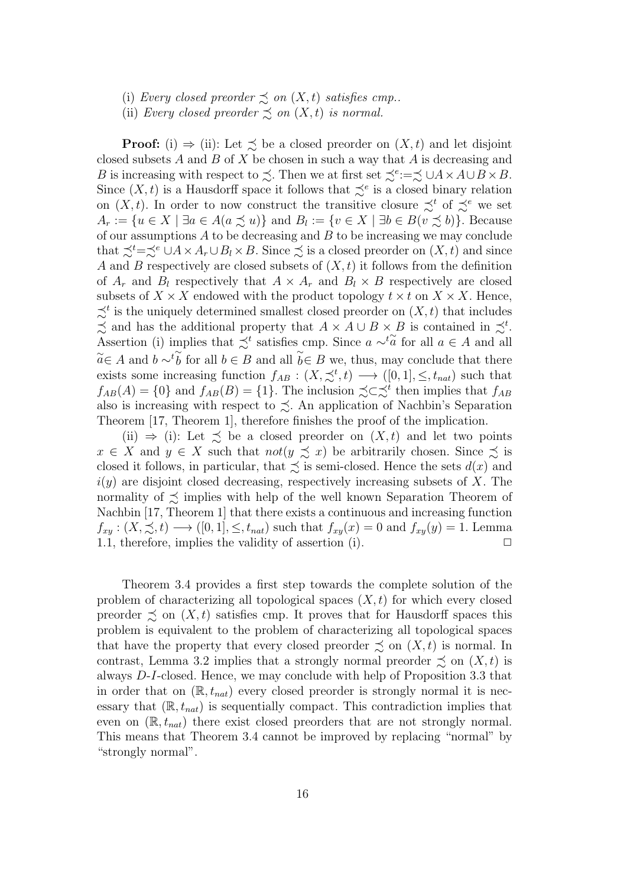(i) *Every closed preorder*  $\precsim$  *on*  $(X, t)$  *satisfies cmp..* 

(ii) *Every closed preorder*  $\preceq$  *on*  $(X, t)$  *is normal.* 

**Proof:** (i)  $\Rightarrow$  (ii): Let  $\leq$  be a closed preorder on  $(X, t)$  and let disjoint closed subsets *A* and *B* of *X* be chosen in such a way that *A* is decreasing and *B* is increasing with respect to  $\precsim$ . Then we at first set  $\precsim$ <sup>*e*</sup>:  $=\precsim \cup A \times A \cup B \times B$ . Since  $(X, t)$  is a Hausdorff space it follows that  $\preceq^e$  is a closed binary relation on  $(X, t)$ . In order to now construct the transitive closure  $\precsim^t$  of  $\precsim^e$  we set  $A_r := \{u \in X \mid \exists a \in A (a \preceq u)\}\$ and  $B_l := \{v \in X \mid \exists b \in B (v \preceq b)\}\$ . Because of our assumptions *A* to be decreasing and *B* to be increasing we may conclude that  $\preceq^t=\preceq^e \cup A \times A_r \cup B_l \times B$ . Since  $\preceq$  is a closed preorder on  $(X, t)$  and since *A* and *B* respectively are closed subsets of (*X, t*) it follows from the definition of  $A_r$  and  $B_l$  respectively that  $A \times A_r$  and  $B_l \times B$  respectively are closed subsets of  $X \times X$  endowed with the product topology  $t \times t$  on  $X \times X$ . Hence,  $\precsim^t$  is the uniquely determined smallest closed preorder on  $(X, t)$  that includes  $\lesssim$  and has the additional property that  $A \times A \cup B \times B$  is contained in  $\precsim$ <sup>t</sup>. Assertion (i) implies that  $\precsim^t$  satisfies cmp. Since  $a \sim^t \widetilde{a}$  for all  $a \in A$  and all  $\widetilde{a} \in A$  and  $b \sim t \widetilde{b}$  for all  $b \in B$  and all  $\widetilde{b} \in B$  we, thus, may conclude that there exists some increasing function  $f_{AB} : (X, \preceq^t, t) \longrightarrow ([0, 1], \leq, t_{nat})$  such that  $f_{AB}(A) = \{0\}$  and  $f_{AB}(B) = \{1\}$ . The inclusion  $\precsim \preceq^t$  then implies that  $f_{AB}$ also is increasing with respect to  $\lesssim$ . An application of Nachbin's Separation Theorem [17, Theorem 1], therefore finishes the proof of the implication.

(ii)  $\Rightarrow$  (i): Let  $\preceq$  be a closed preorder on  $(X, t)$  and let two points  $x \in X$  and  $y \in X$  such that  $not(y \precsim x)$  be arbitrarily chosen. Since  $\precsim$  is closed it follows, in particular, that  $\precsim$  is semi-closed. Hence the sets  $d(x)$  and *i*(*y*) are disjoint closed decreasing, respectively increasing subsets of *X*. The normality of  $\precsim$  implies with help of the well known Separation Theorem of Nachbin [17, Theorem 1] that there exists a continuous and increasing function  $f_{xy}: (X, \preceq, t) \longrightarrow ([0, 1], \leq, t_{nat})$  such that  $f_{xy}(x) = 0$  and  $f_{xy}(y) = 1$ . Lemma 1.1, therefore, implies the validity of assertion  $(i)$ .  $\Box$ 

Theorem 3.4 provides a first step towards the complete solution of the problem of characterizing all topological spaces (*X, t*) for which every closed preorder  $\preceq$  on  $(X, t)$  satisfies cmp. It proves that for Hausdorff spaces this problem is equivalent to the problem of characterizing all topological spaces that have the property that every closed preorder  $\precsim$  on  $(X, t)$  is normal. In contrast, Lemma 3.2 implies that a strongly normal preorder  $\precsim$  on  $(X, t)$  is always *D*-*I*-closed. Hence, we may conclude with help of Proposition 3.3 that in order that on  $(\mathbb{R}, t_{nat})$  every closed preorder is strongly normal it is necessary that  $(\mathbb{R}, t_{nat})$  is sequentially compact. This contradiction implies that even on (R*, tnat*) there exist closed preorders that are not strongly normal. This means that Theorem 3.4 cannot be improved by replacing "normal" by "strongly normal".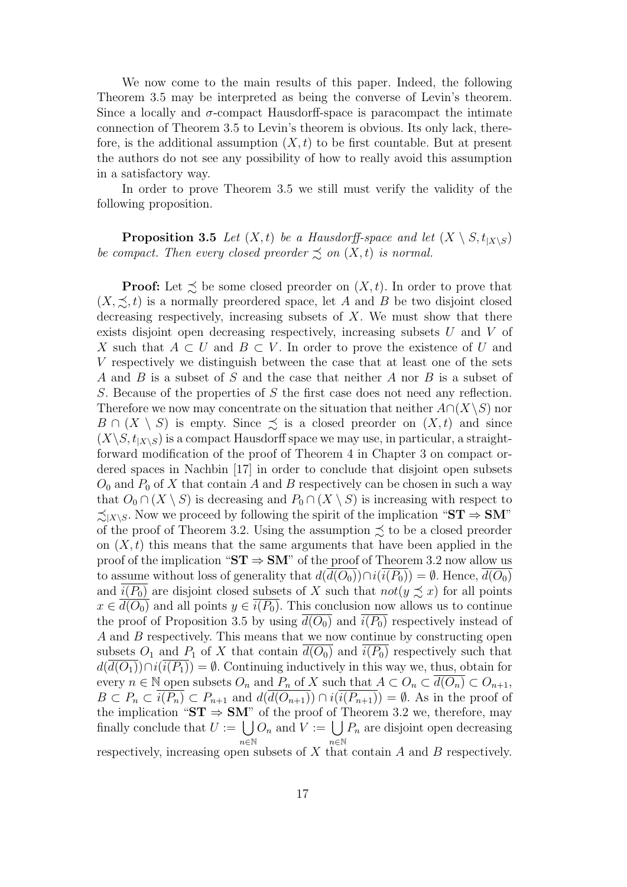We now come to the main results of this paper. Indeed, the following Theorem 3.5 may be interpreted as being the converse of Levin's theorem. Since a locally and  $\sigma$ -compact Hausdorff-space is paracompact the intimate connection of Theorem 3.5 to Levin's theorem is obvious. Its only lack, therefore, is the additional assumption  $(X, t)$  to be first countable. But at present the authors do not see any possibility of how to really avoid this assumption in a satisfactory way.

In order to prove Theorem 3.5 we still must verify the validity of the following proposition.

**Proposition 3.5** *Let*  $(X, t)$  *be a Hausdorff-space and let*  $(X \setminus S, t_{|X \setminus S})$ *be compact. Then every closed preorder*  $\preceq$  *on*  $(X, t)$  *is normal.* 

**Proof:** Let  $\leq$  be some closed preorder on  $(X, t)$ . In order to prove that  $(X, \preceq, t)$  is a normally preordered space, let *A* and *B* be two disjoint closed decreasing respectively, increasing subsets of *X*. We must show that there exists disjoint open decreasing respectively, increasing subsets *U* and *V* of *X* such that *A*  $\subset$  *U* and *B*  $\subset$  *V*. In order to prove the existence of *U* and *V* respectively we distinguish between the case that at least one of the sets *A* and *B* is a subset of *S* and the case that neither *A* nor *B* is a subset of *S*. Because of the properties of *S* the first case does not need any reflection. Therefore we now may concentrate on the situation that neither  $A \cap (X \setminus S)$  nor *B*  $\cap$  (*X*  $\setminus$  *S*) is empty. Since  $\precsim$  is a closed preorder on (*X, t*) and since  $(X \setminus S, t_{X \setminus S})$  is a compact Hausdorff space we may use, in particular, a straightforward modification of the proof of Theorem 4 in Chapter 3 on compact ordered spaces in Nachbin [17] in order to conclude that disjoint open subsets  $O_0$  and  $P_0$  of X that contain A and B respectively can be chosen in such a way that  $O_0 \cap (X \setminus S)$  is decreasing and  $P_0 \cap (X \setminus S)$  is increasing with respect to  $\leq$ <sub>*IX*</sub>⁄*S*. Now we proceed by following the spirit of the implication "ST ⇒ SM" of the proof of Theorem 3.2. Using the assumption  $\precsim$  to be a closed preorder on  $(X, t)$  this means that the same arguments that have been applied in the proof of the implication " $ST \Rightarrow SM$ " of the proof of Theorem 3.2 now allow us to assume without loss of generality that  $d(d(O_0)) \cap i(i(P_0)) = \emptyset$ . Hence,  $d(O_0)$ and  $i(P_0)$  are disjoint closed subsets of *X* such that  $not(y \precsim x)$  for all points  $x \in d(O_0)$  and all points  $y \in i(P_0)$ . This conclusion now allows us to continue the proof of Proposition 3.5 by using  $d(O_0)$  and  $i(P_0)$  respectively instead of *A* and *B* respectively. This means that we now continue by constructing open subsets  $O_1$  and  $P_1$  of X that contain  $\overline{d(O_0)}$  and  $\overline{i(P_0)}$  respectively such that  $d(\overline{d(O_1)}) \cap i(\overline{i(P_1)}) = \emptyset$ . Continuing inductively in this way we, thus, obtain for every  $n \in \mathbb{N}$  open subsets  $O_n$  and  $P_n$  of  $X$  such that  $A \subset O_n \subset \overline{d(O_n)} \subset O_{n+1}$ ,  $B \subset P_n \subset \overline{i(P_n)} \subset P_{n+1}$  and  $d(\overline{d(O_{n+1})}) \cap i(\overline{i(P_{n+1})}) = \emptyset$ . As in the proof of the implication " $ST \Rightarrow SM$ " of the proof of Theorem 3.2 we, therefore, may finally conclude that  $U := \bigcup$ *n∈*N  $O_n$  and  $V := \bigcup$ *n∈*N *P<sup>n</sup>* are disjoint open decreasing

respectively, increasing open subsets of *X* that contain *A* and *B* respectively.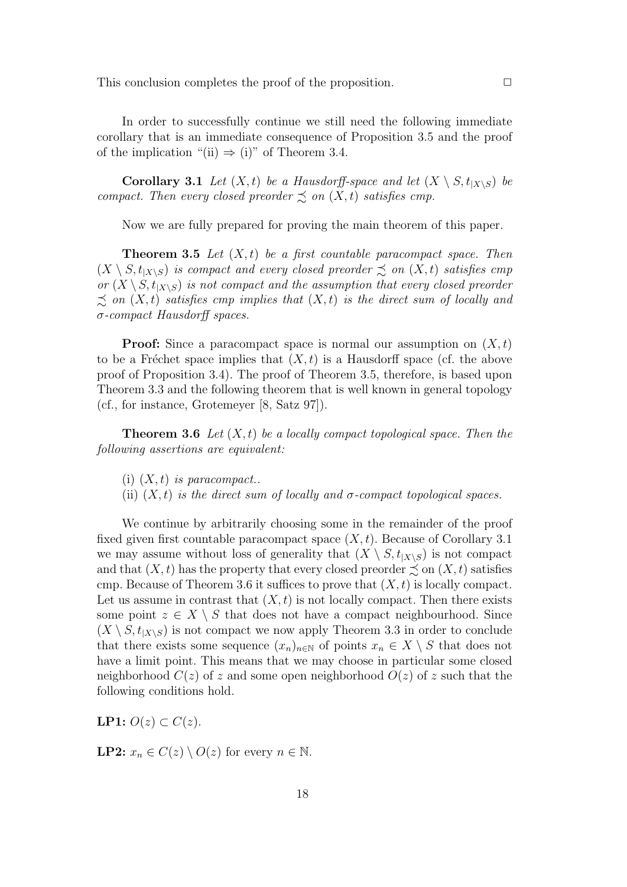This conclusion completes the proof of the proposition. □

In order to successfully continue we still need the following immediate corollary that is an immediate consequence of Proposition 3.5 and the proof of the implication "(ii)  $\Rightarrow$  (i)" of Theorem 3.4.

**Corollary 3.1** *Let*  $(X, t)$  *be a Hausdorff-space and let*  $(X \setminus S, t_{|X \setminus S})$  *be compact. Then every closed preorder*  $\precsim$  *on*  $(X, t)$  *satisfies cmp.* 

Now we are fully prepared for proving the main theorem of this paper.

**Theorem 3.5** *Let* (*X, t*) *be a first countable paracompact space. Then*  $(X \setminus S, t_{X \setminus S})$  *is compact and every closed preorder*  $\precsim$  *on*  $(X, t)$  *satisfies cmp or*  $(X \setminus S, t_{X \setminus S})$  *is not compact and the assumption that every closed preorder*  $\leq$  *on*  $(X, t)$  *satisfies cmp implies that*  $(X, t)$  *is the direct sum of locally and σ-compact Hausdorff spaces.*

**Proof:** Since a paracompact space is normal our assumption on (*X, t*) to be a Fréchet space implies that  $(X, t)$  is a Hausdorff space (cf. the above proof of Proposition 3.4). The proof of Theorem 3.5, therefore, is based upon Theorem 3.3 and the following theorem that is well known in general topology (cf., for instance, Grotemeyer [8, Satz 97]).

**Theorem 3.6** *Let* (*X, t*) *be a locally compact topological space. Then the following assertions are equivalent:*

(i) (*X, t*) *is paracompact..*

(ii)  $(X, t)$  *is the direct sum of locally and*  $\sigma$ *-compact topological spaces.* 

We continue by arbitrarily choosing some in the remainder of the proof fixed given first countable paracompact space (*X, t*). Because of Corollary 3.1 we may assume without loss of generality that  $(X \setminus S, t_{|X \setminus S})$  is not compact and that  $(X, t)$  has the property that every closed preorder  $\preceq$  on  $(X, t)$  satisfies cmp. Because of Theorem 3.6 it suffices to prove that (*X, t*) is locally compact. Let us assume in contrast that  $(X, t)$  is not locally compact. Then there exists some point  $z \in X \setminus S$  that does not have a compact neighbourhood. Since  $(X \setminus S, t_{[X \setminus S]} )$  is not compact we now apply Theorem 3.3 in order to conclude that there exists some sequence  $(x_n)_{n\in\mathbb{N}}$  of points  $x_n \in X \setminus S$  that does not have a limit point. This means that we may choose in particular some closed neighborhood  $C(z)$  of *z* and some open neighborhood  $O(z)$  of *z* such that the following conditions hold.

*LP*1:  $O(z)$  ⊂  $C(z)$ .

**LP2:**  $x_n \in C(z) \setminus O(z)$  for every  $n \in \mathbb{N}$ .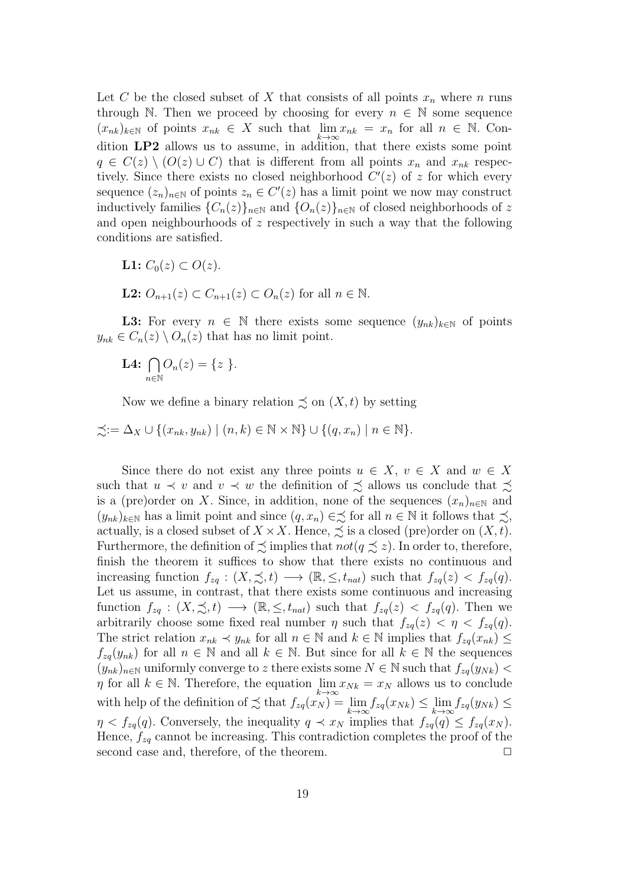Let *C* be the closed subset of *X* that consists of all points  $x_n$  where *n* runs through N. Then we proceed by choosing for every  $n \in \mathbb{N}$  some sequence  $(x_{nk})_{k\in\mathbb{N}}$  of points  $x_{nk} \in X$  such that  $\lim_{k\to\infty}x_{nk} = x_n$  for all  $n \in \mathbb{N}$ . Condition **LP2** allows us to assume, in addition, that there exists some point  $q \in C(z) \setminus (O(z) \cup C)$  that is different from all points  $x_n$  and  $x_{nk}$  respectively. Since there exists no closed neighborhood  $C'(z)$  of *z* for which every sequence  $(z_n)_{n \in \mathbb{N}}$  of points  $z_n \in C'(z)$  has a limit point we now may construct inductively families  ${C_n(z)}_{n\in\mathbb{N}}$  and  ${O_n(z)}_{n\in\mathbb{N}}$  of closed neighborhoods of z and open neighbourhoods of *z* respectively in such a way that the following conditions are satisfied.

- **L1:**  $C_0(z)$  ⊂  $O(z)$ .
- **L2:**  $O_{n+1}(z) \subset C_{n+1}(z) \subset O_n(z)$  for all  $n \in \mathbb{N}$ .

**L3:** For every  $n \in \mathbb{N}$  there exists some sequence  $(y_{nk})_{k \in \mathbb{N}}$  of points  $y_{nk} \in C_n(z) \setminus O_n(z)$  that has no limit point.

**L4:** <sup>∩</sup> *n∈*N  $O_n(z) = \{z\}.$ 

Now we define a binary relation  $\precsim$  on  $(X, t)$  by setting

$$
\preceq := \Delta_X \cup \{ (x_{nk}, y_{nk}) \mid (n, k) \in \mathbb{N} \times \mathbb{N} \} \cup \{ (q, x_n) \mid n \in \mathbb{N} \}.
$$

Since there do not exist any three points  $u \in X$ ,  $v \in X$  and  $w \in X$ such that  $u \prec v$  and  $v \prec w$  the definition of  $\precsim$  allows us conclude that  $\precsim$ is a (pre)order on *X*. Since, in addition, none of the sequences  $(x_n)_{n\in\mathbb{N}}$  and  $(y_{nk})_{k\in\mathbb{N}}$  has a limit point and since  $(q, x_n) \in \leq$  for all  $n \in \mathbb{N}$  it follows that  $\leq$ , actually, is a closed subset of  $X \times X$ . Hence,  $\precsim$  is a closed (pre)order on  $(X, t)$ . Furthermore, the definition of  $\precsim$  implies that  $not(q \precsim z)$ . In order to, therefore, finish the theorem it suffices to show that there exists no continuous and increasing function  $f_{zq}: (X, \preceq, t) \longrightarrow (\mathbb{R}, \leq, t_{nat})$  such that  $f_{zq}(z) < f_{zq}(q)$ . Let us assume, in contrast, that there exists some continuous and increasing function  $f_{zq}: (X, \preceq, t) \longrightarrow (\mathbb{R}, \leq, t_{nat})$  such that  $f_{zq}(z) < f_{zq}(q)$ . Then we arbitrarily choose some fixed real number  $\eta$  such that  $f_{zq}(z) < \eta < f_{zq}(q)$ . The strict relation  $x_{nk} \prec y_{nk}$  for all  $n \in \mathbb{N}$  and  $k \in \mathbb{N}$  implies that  $f_{zq}(x_{nk}) \leq$  $f_{zq}(y_{nk})$  for all  $n \in \mathbb{N}$  and all  $k \in \mathbb{N}$ . But since for all  $k \in \mathbb{N}$  the sequences  $(y_{nk})_{n\in\mathbb{N}}$  uniformly converge to *z* there exists some  $N \in \mathbb{N}$  such that  $f_{zq}(y_{Nk})$ *η* for all  $k \in \mathbb{N}$ . Therefore, the equation  $\lim_{k \to \infty}$  $\eta$  for all  $k \in \mathbb{N}$ . Therefore, the equation  $\lim_{n \to \infty} x_{Nk} = x_N$  allows us to conclude with help of the definition of  $\precsim$  that  $f_{zq}(x_N) = \lim_{k \to \infty} f_{zq}(x_{Nk}) \leq \lim_{k \to \infty} f_{zq}(x_N)$ *k→∞*  $f_{zq}(y_{Nk}) \leq$  $\eta < f_{zq}(q)$ . Conversely, the inequality  $q \prec x_N$  implies that  $f_{zq}(q) \leq f_{zq}(x_N)$ . Hence, *fzq* cannot be increasing. This contradiction completes the proof of the second case and, therefore, of the theorem.  $\Box$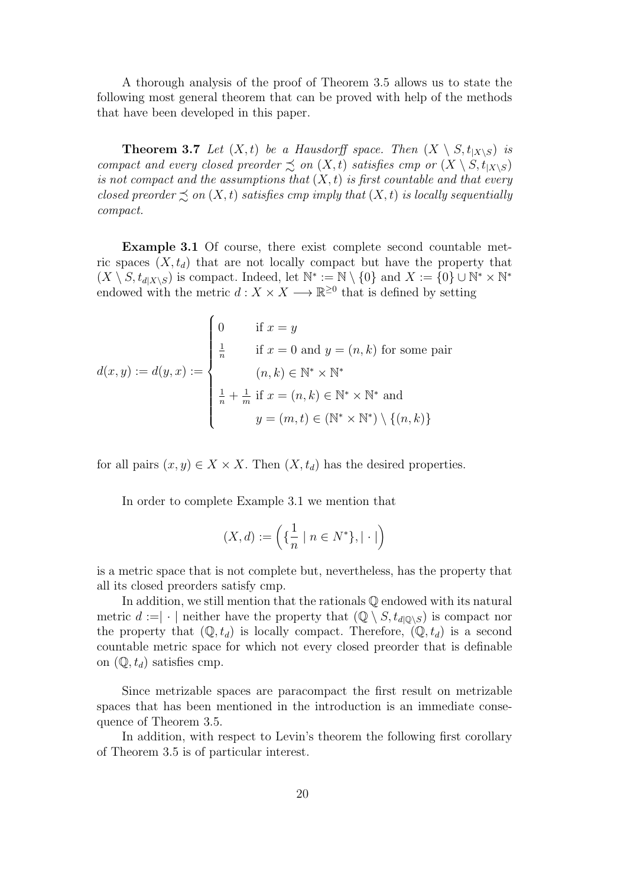A thorough analysis of the proof of Theorem 3.5 allows us to state the following most general theorem that can be proved with help of the methods that have been developed in this paper.

**Theorem 3.7** *Let*  $(X, t)$  *be a Hausdorff space. Then*  $(X \setminus S, t_{|X \setminus S})$  *is compact and every closed preorder*  $\precsim$  *on*  $(X, t)$  *satisfies cmp or*  $(X \setminus S, t_{|X \setminus S})$ *is not compact and the assumptions that* (*X, t*) *is first countable and that every closed preorder*  $\preceq$  *on*  $(X, t)$  *satisfies cmp imply that*  $(X, t)$  *is locally sequentially compact.*

**Example 3.1** Of course, there exist complete second countable metric spaces  $(X, t_d)$  that are not locally compact but have the property that  $(X \setminus S, t_{d|X \setminus S})$  is compact. Indeed, let  $\mathbb{N}^* := \mathbb{N} \setminus \{0\}$  and  $X := \{0\} \cup \mathbb{N}^* \times \mathbb{N}^*$ endowed with the metric  $d: X \times X \longrightarrow \mathbb{R}^{\geq 0}$  that is defined by setting

$$
d(x,y) := d(y,x) := \begin{cases} 0 & \text{if } x = y \\ \frac{1}{n} & \text{if } x = 0 \text{ and } y = (n,k) \text{ for some pair} \\ (n,k) \in \mathbb{N}^* \times \mathbb{N}^* \\ \frac{1}{n} + \frac{1}{m} \text{ if } x = (n,k) \in \mathbb{N}^* \times \mathbb{N}^* \text{ and} \\ y = (m,t) \in (\mathbb{N}^* \times \mathbb{N}^*) \setminus \{(n,k)\} \end{cases}
$$

for all pairs  $(x, y) \in X \times X$ . Then  $(X, t_d)$  has the desired properties.

In order to complete Example 3.1 we mention that

$$
(X,d):=\left(\{\frac{1}{n}\mid n\in N^*\}, |\cdot|\right)
$$

is a metric space that is not complete but, nevertheless, has the property that all its closed preorders satisfy cmp.

In addition, we still mention that the rationals Q endowed with its natural metric  $d := | \cdot |$  neither have the property that  $(\mathbb{Q} \setminus S, t_{d | \mathbb{Q} \setminus S})$  is compact nor the property that  $(\mathbb{Q}, t_d)$  is locally compact. Therefore,  $(\mathbb{Q}, t_d)$  is a second countable metric space for which not every closed preorder that is definable on  $(\mathbb{Q}, t_d)$  satisfies cmp.

Since metrizable spaces are paracompact the first result on metrizable spaces that has been mentioned in the introduction is an immediate consequence of Theorem 3.5.

In addition, with respect to Levin's theorem the following first corollary of Theorem 3.5 is of particular interest.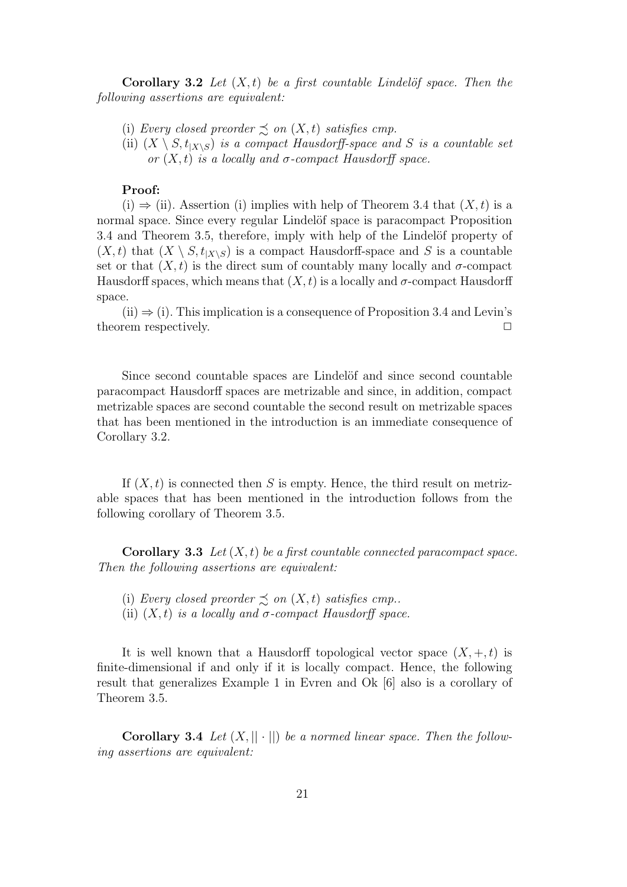**Corollary 3.2** *Let*  $(X, t)$  *be a first countable Lindelöf space. Then the following assertions are equivalent:*

(i) *Every closed preorder*  $\precsim$  *on*  $(X, t)$  *satisfies cmp.* 

(ii)  $(X \setminus S, t_{X \setminus S})$  *is a compact Hausdorff-space and S is a countable set or*  $(X, t)$  *is a locally and*  $\sigma$ *-compact Hausdorff space.* 

# **Proof:**

(i) *⇒* (ii). Assertion (i) implies with help of Theorem 3.4 that (*X, t*) is a normal space. Since every regular Lindelöf space is paracompact Proposition 3.4 and Theorem 3.5, therefore, imply with help of the Lindelöf property of  $(X, t)$  that  $(X \setminus S, t_{X \setminus S})$  is a compact Hausdorff-space and S is a countable set or that  $(X, t)$  is the direct sum of countably many locally and  $\sigma$ -compact Hausdorff spaces, which means that  $(X, t)$  is a locally and  $\sigma$ -compact Hausdorff space.

(ii) *⇒* (i). This implication is a consequence of Proposition 3.4 and Levin's theorem respectively.  $\Box$ 

Since second countable spaces are Lindelöf and since second countable paracompact Hausdorff spaces are metrizable and since, in addition, compact metrizable spaces are second countable the second result on metrizable spaces that has been mentioned in the introduction is an immediate consequence of Corollary 3.2.

If  $(X, t)$  is connected then *S* is empty. Hence, the third result on metrizable spaces that has been mentioned in the introduction follows from the following corollary of Theorem 3.5.

**Corollary 3.3** *Let* (*X, t*) *be a first countable connected paracompact space. Then the following assertions are equivalent:*

- (i) *Every closed preorder*  $\leq$  *on*  $(X, t)$  *satisfies cmp..*
- (ii)  $(X, t)$  *is a locally and*  $\sigma$ -compact Hausdorff space.

It is well known that a Hausdorff topological vector space  $(X, +, t)$  is finite-dimensional if and only if it is locally compact. Hence, the following result that generalizes Example 1 in Evren and Ok [6] also is a corollary of Theorem 3.5.

**Corollary 3.4** *Let*  $(X, || \cdot ||)$  *be a normed linear space. Then the following assertions are equivalent:*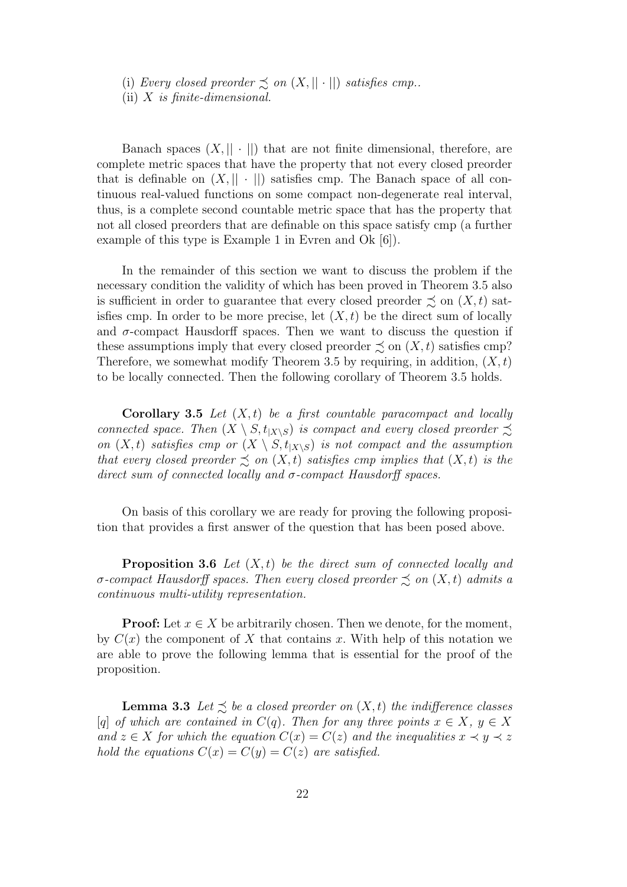(i) *Every closed preorder*  $\precsim$  *on*  $(X, || \cdot ||)$  *satisfies cmp..* 

(ii) *X is finite-dimensional.*

Banach spaces  $(X, || \cdot ||)$  that are not finite dimensional, therefore, are complete metric spaces that have the property that not every closed preorder that is definable on  $(X, || \cdot ||)$  satisfies cmp. The Banach space of all continuous real-valued functions on some compact non-degenerate real interval, thus, is a complete second countable metric space that has the property that not all closed preorders that are definable on this space satisfy cmp (a further example of this type is Example 1 in Evren and Ok [6]).

In the remainder of this section we want to discuss the problem if the necessary condition the validity of which has been proved in Theorem 3.5 also is sufficient in order to guarantee that every closed preorder  $\precsim$  on  $(X, t)$  satisfies cmp. In order to be more precise, let  $(X, t)$  be the direct sum of locally and  $\sigma$ -compact Hausdorff spaces. Then we want to discuss the question if these assumptions imply that every closed preorder  $\precsim$  on  $(X, t)$  satisfies cmp? Therefore, we somewhat modify Theorem 3.5 by requiring, in addition,  $(X, t)$ to be locally connected. Then the following corollary of Theorem 3.5 holds.

**Corollary 3.5** *Let* (*X, t*) *be a first countable paracompact and locally connected space. Then*  $(X \setminus S, t_{|X \setminus S})$  *is compact and every closed preorder*  $\precsim$ *on*  $(X, t)$  *satisfies cmp or*  $(X \setminus S, t_{|X \setminus S})$  *is not compact and the assumption that every closed preorder*  $\precsim$  *on*  $(X,t)$  *satisfies cmp implies that*  $(X,t)$  *is the direct sum of connected locally and σ-compact Hausdorff spaces.*

On basis of this corollary we are ready for proving the following proposition that provides a first answer of the question that has been posed above.

**Proposition 3.6** *Let* (*X, t*) *be the direct sum of connected locally and σ*-compact Hausdorff spaces. Then every closed preorder  $\precsim$  on  $(X, t)$  admits a *continuous multi-utility representation.*

**Proof:** Let  $x \in X$  be arbitrarily chosen. Then we denote, for the moment, by  $C(x)$  the component of X that contains x. With help of this notation we are able to prove the following lemma that is essential for the proof of the proposition.

**Lemma 3.3** Let  $\leq$  be a closed preorder on  $(X, t)$  the indifference classes  $[q]$  *of which are contained in*  $C(q)$ *. Then for any three points*  $x \in X$ *,*  $y \in X$ *and*  $z \in X$  *for which the equation*  $C(x) = C(z)$  *and the inequalities*  $x \prec y \prec z$ *hold the equations*  $C(x) = C(y) = C(z)$  *are satisfied.*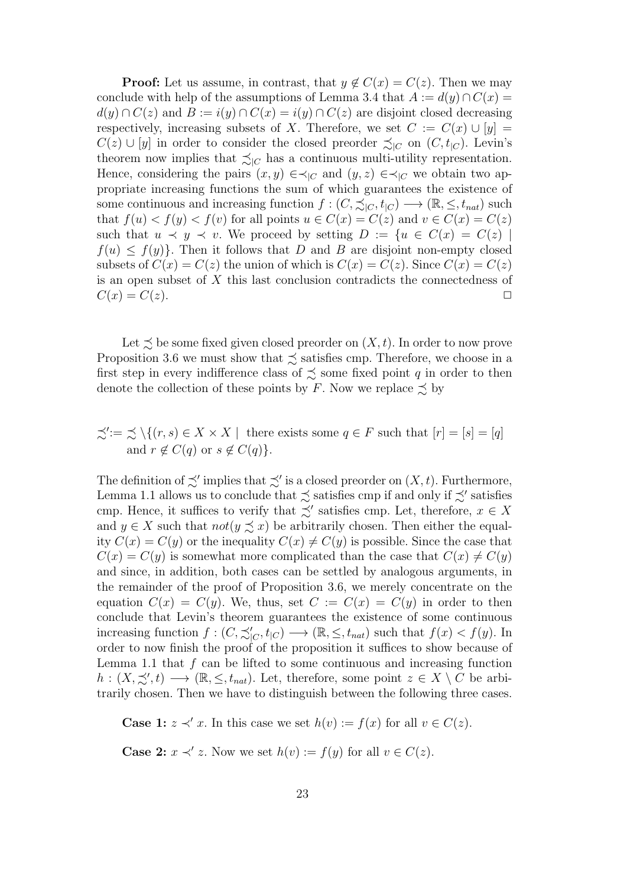**Proof:** Let us assume, in contrast, that  $y \notin C(x) = C(z)$ . Then we may conclude with help of the assumptions of Lemma 3.4 that  $A := d(y) \cap C(x) =$ *d*(*y*) ∩ *C*(*z*) and *B* := *i*(*y*) ∩ *C*(*x*) = *i*(*y*) ∩ *C*(*z*) are disjoint closed decreasing respectively, increasing subsets of *X*. Therefore, we set  $C := C(x) \cup [y] =$ *C*(*z*) ∪ [*y*] in order to consider the closed preorder  $\precsim$ <sub>*IC*</sub> on (*C*, *t*<sub>*IC*</sub>). Levin's theorem now implies that  $\precsim_{|C}$  has a continuous multi-utility representation. Hence, considering the pairs  $(x, y) \in \prec_{|C}$  and  $(y, z) \in \prec_{|C}$  we obtain two appropriate increasing functions the sum of which guarantees the existence of some continuous and increasing function  $f : (C, \preceq_{C} f, t_{|C}) \longrightarrow (\mathbb{R}, \leq, t_{nat})$  such that  $f(u) < f(y) < f(v)$  for all points  $u \in C(x) = C(z)$  and  $v \in C(x) = C(z)$ such that  $u \prec y \prec v$ . We proceed by setting  $D := \{u \in C(x) = C(z) \mid$  $f(u) \leq f(y)$ . Then it follows that *D* and *B* are disjoint non-empty closed subsets of  $C(x) = C(z)$  the union of which is  $C(x) = C(z)$ . Since  $C(x) = C(z)$ is an open subset of *X* this last conclusion contradicts the connectedness of  $C(x) = C(z).$ 

Let  $\precsim$  be some fixed given closed preorder on  $(X, t)$ . In order to now prove Proposition 3.6 we must show that  $\precsim$  satisfies cmp. Therefore, we choose in a first step in every indifference class of  $\precsim$  some fixed point *q* in order to then denote the collection of these points by *F*. Now we replace  $\leq$  by

$$
\preceq' := \preceq \setminus \{ (r, s) \in X \times X \mid \text{ there exists some } q \in F \text{ such that } [r] = [s] = [q] \text{ and } r \notin C(q) \text{ or } s \notin C(q) \}.
$$

The definition of  $\precsim'$  implies that  $\precsim'$  is a closed preorder on  $(X, t)$ . Furthermore, Lemma 1.1 allows us to conclude that  $\precsim$  satisfies cmp if and only if  $\precsim'$  satisfies cmp. Hence, it suffices to verify that  $\precsim'$  satisfies cmp. Let, therefore,  $x \in X$ and  $y \in X$  such that  $not(y \preceq x)$  be arbitrarily chosen. Then either the equality  $C(x) = C(y)$  or the inequality  $C(x) \neq C(y)$  is possible. Since the case that  $C(x) = C(y)$  is somewhat more complicated than the case that  $C(x) \neq C(y)$ and since, in addition, both cases can be settled by analogous arguments, in the remainder of the proof of Proposition 3.6, we merely concentrate on the equation  $C(x) = C(y)$ . We, thus, set  $C := C(x) = C(y)$  in order to then conclude that Levin's theorem guarantees the existence of some continuous increasing function  $f : (C, \precsim'_{[C}, t_{[C)}) \longrightarrow (\mathbb{R}, \leq, t_{nat})$  such that  $f(x) < f(y)$ . In order to now finish the proof of the proposition it suffices to show because of Lemma 1.1 that *f* can be lifted to some continuous and increasing function *h* :  $(X, \preceq', t)$  → (ℝ, ≤,  $t_{nat}$ ). Let, therefore, some point  $z \in X \setminus C$  be arbitrarily chosen. Then we have to distinguish between the following three cases.

**Case 1:**  $z \prec' x$ . In this case we set  $h(v) := f(x)$  for all  $v \in C(z)$ .

**Case 2:**  $x \prec' z$ . Now we set  $h(v) := f(y)$  for all  $v \in C(z)$ .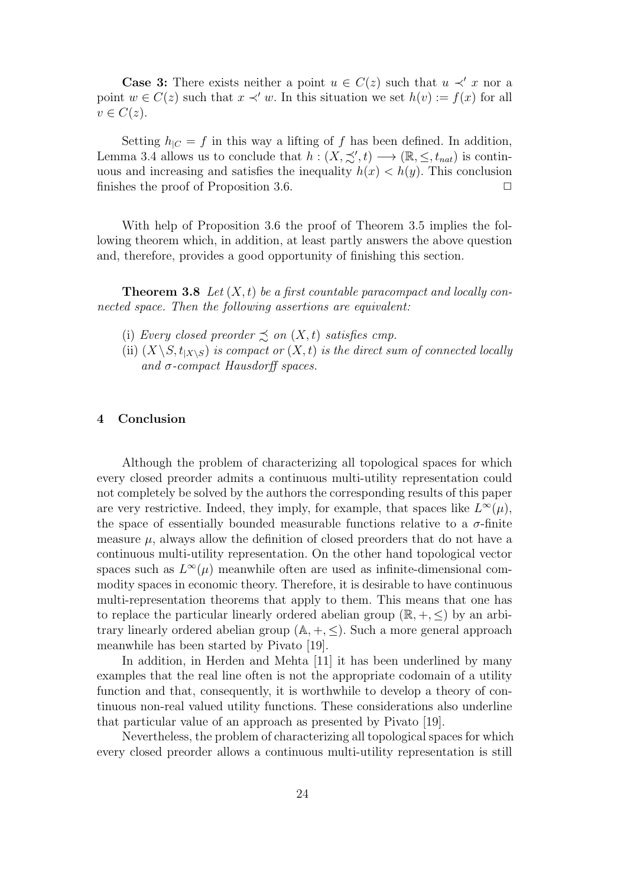**Case 3:** There exists neither a point  $u \in C(z)$  such that  $u \prec' x$  nor a point  $w \in C(z)$  such that  $x \prec' w$ . In this situation we set  $h(v) := f(x)$  for all  $v \in C(z)$ .

Setting  $h_{\text{IC}} = f$  in this way a lifting of  $f$  has been defined. In addition, Lemma 3.4 allows us to conclude that  $h : (X, \preceq', t) \longrightarrow (\mathbb{R}, \leq, t_{nat})$  is continuous and increasing and satisfies the inequality  $h(x) < h(y)$ . This conclusion finishes the proof of Proposition 3.6.  $\Box$ 

With help of Proposition 3.6 the proof of Theorem 3.5 implies the following theorem which, in addition, at least partly answers the above question and, therefore, provides a good opportunity of finishing this section.

**Theorem 3.8** *Let* (*X, t*) *be a first countable paracompact and locally connected space. Then the following assertions are equivalent:*

- (i) *Every closed preorder*  $\precsim$  *on*  $(X, t)$  *satisfies cmp.*
- (ii)  $(X \setminus S, t_{|X \setminus S})$  *is compact or*  $(X, t)$  *is the direct sum of connected locally and σ-compact Hausdorff spaces.*

#### **4 Conclusion**

Although the problem of characterizing all topological spaces for which every closed preorder admits a continuous multi-utility representation could not completely be solved by the authors the corresponding results of this paper are very restrictive. Indeed, they imply, for example, that spaces like  $L^{\infty}(\mu)$ , the space of essentially bounded measurable functions relative to a  $\sigma$ -finite measure  $\mu$ , always allow the definition of closed preorders that do not have a continuous multi-utility representation. On the other hand topological vector spaces such as  $L^{\infty}(\mu)$  meanwhile often are used as infinite-dimensional commodity spaces in economic theory. Therefore, it is desirable to have continuous multi-representation theorems that apply to them. This means that one has to replace the particular linearly ordered abelian group  $(\mathbb{R}, +, \le)$  by an arbitrary linearly ordered abelian group  $(A, +, \leq)$ . Such a more general approach meanwhile has been started by Pivato [19].

In addition, in Herden and Mehta [11] it has been underlined by many examples that the real line often is not the appropriate codomain of a utility function and that, consequently, it is worthwhile to develop a theory of continuous non-real valued utility functions. These considerations also underline that particular value of an approach as presented by Pivato [19].

Nevertheless, the problem of characterizing all topological spaces for which every closed preorder allows a continuous multi-utility representation is still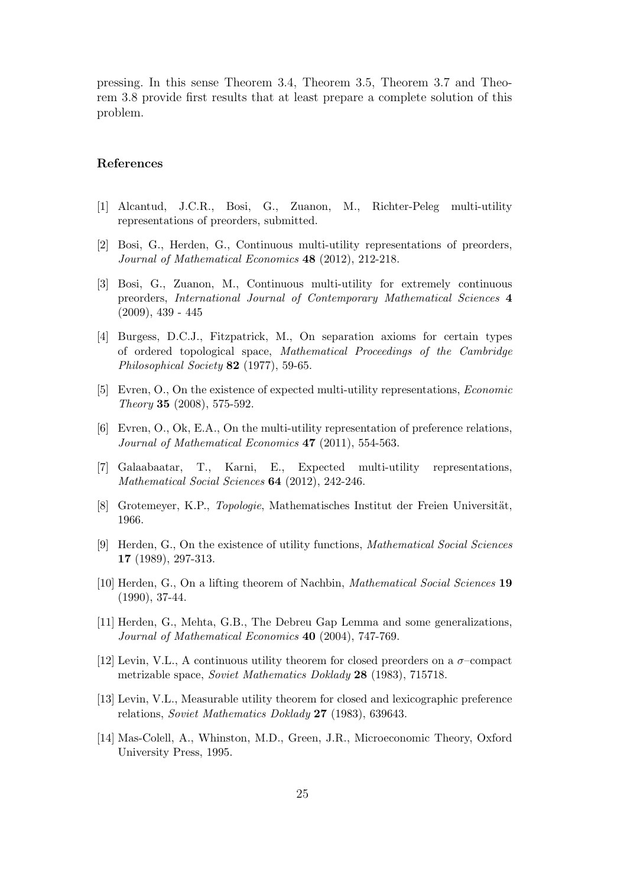pressing. In this sense Theorem 3.4, Theorem 3.5, Theorem 3.7 and Theorem 3.8 provide first results that at least prepare a complete solution of this problem.

## **References**

- [1] Alcantud, J.C.R., Bosi, G., Zuanon, M., Richter-Peleg multi-utility representations of preorders, submitted.
- [2] Bosi, G., Herden, G., Continuous multi-utility representations of preorders, *Journal of Mathematical Economics* **48** (2012), 212-218.
- [3] Bosi, G., Zuanon, M., Continuous multi-utility for extremely continuous preorders, *International Journal of Contemporary Mathematical Sciences* **4**  $(2009), 439 - 445$
- [4] Burgess, D.C.J., Fitzpatrick, M., On separation axioms for certain types of ordered topological space, *Mathematical Proceedings of the Cambridge Philosophical Society* **82** (1977), 59-65.
- [5] Evren, O., On the existence of expected multi-utility representations, *Economic Theory* **35** (2008), 575-592.
- [6] Evren, O., Ok, E.A., On the multi-utility representation of preference relations, *Journal of Mathematical Economics* **47** (2011), 554-563.
- [7] Galaabaatar, T., Karni, E., Expected multi-utility representations, *Mathematical Social Sciences* **64** (2012), 242-246.
- [8] Grotemeyer, K.P., *Topologie*, Mathematisches Institut der Freien Universität, 1966.
- [9] Herden, G., On the existence of utility functions, *Mathematical Social Sciences* **17** (1989), 297-313.
- [10] Herden, G., On a lifting theorem of Nachbin, *Mathematical Social Sciences* **19** (1990), 37-44.
- [11] Herden, G., Mehta, G.B., The Debreu Gap Lemma and some generalizations, *Journal of Mathematical Economics* **40** (2004), 747-769.
- [12] Levin, V.L., A continuous utility theorem for closed preorders on a *σ*–compact metrizable space, *Soviet Mathematics Doklady* **28** (1983), 715718.
- [13] Levin, V.L., Measurable utility theorem for closed and lexicographic preference relations, *Soviet Mathematics Doklady* **27** (1983), 639643.
- [14] Mas-Colell, A., Whinston, M.D., Green, J.R., Microeconomic Theory, Oxford University Press, 1995.